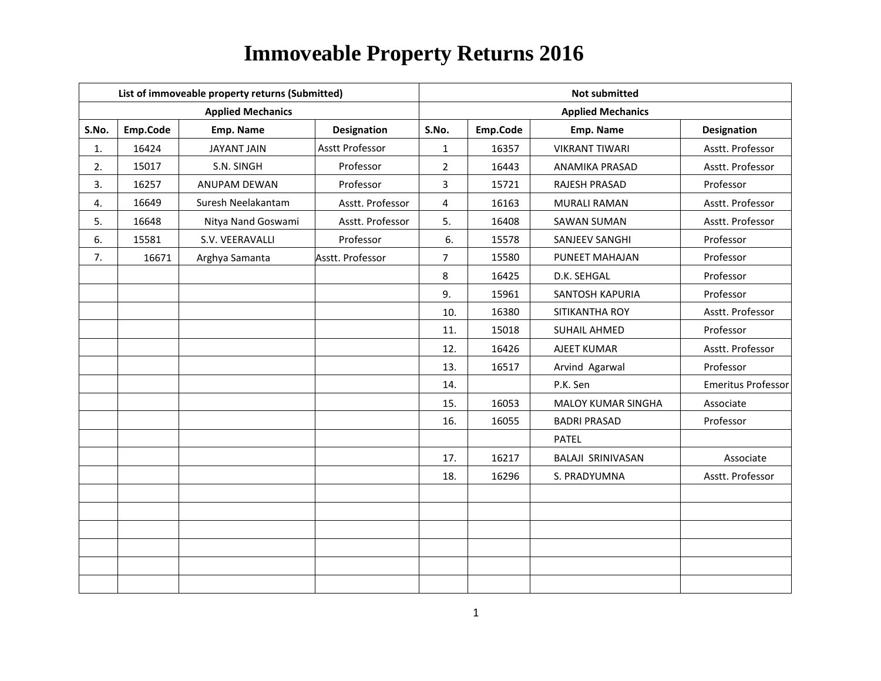|       |          | List of immoveable property returns (Submitted) |                        | <b>Not submitted</b> |          |                          |                           |  |
|-------|----------|-------------------------------------------------|------------------------|----------------------|----------|--------------------------|---------------------------|--|
|       |          | <b>Applied Mechanics</b>                        |                        |                      |          | <b>Applied Mechanics</b> |                           |  |
| S.No. | Emp.Code | Emp. Name                                       | Designation            | S.No.                | Emp.Code | Emp. Name                | <b>Designation</b>        |  |
| 1.    | 16424    | <b>JAYANT JAIN</b>                              | <b>Asstt Professor</b> | $\mathbf{1}$         | 16357    | <b>VIKRANT TIWARI</b>    | Asstt. Professor          |  |
| 2.    | 15017    | S.N. SINGH                                      | Professor              | $\overline{2}$       | 16443    | ANAMIKA PRASAD           | Asstt. Professor          |  |
| 3.    | 16257    | ANUPAM DEWAN                                    | Professor              | 3                    | 15721    | RAJESH PRASAD            | Professor                 |  |
| 4.    | 16649    | Suresh Neelakantam                              | Asstt. Professor       | $\overline{4}$       | 16163    | <b>MURALI RAMAN</b>      | Asstt. Professor          |  |
| 5.    | 16648    | Nitya Nand Goswami                              | Asstt. Professor       | 5.                   | 16408    | <b>SAWAN SUMAN</b>       | Asstt. Professor          |  |
| 6.    | 15581    | S.V. VEERAVALLI                                 | Professor              | 6.                   | 15578    | SANJEEV SANGHI           | Professor                 |  |
| 7.    | 16671    | Arghya Samanta                                  | Asstt. Professor       | $\overline{7}$       | 15580    | PUNEET MAHAJAN           | Professor                 |  |
|       |          |                                                 |                        | 8                    | 16425    | D.K. SEHGAL              | Professor                 |  |
|       |          |                                                 |                        | 9.                   | 15961    | SANTOSH KAPURIA          | Professor                 |  |
|       |          |                                                 |                        | 10.                  | 16380    | SITIKANTHA ROY           | Asstt. Professor          |  |
|       |          |                                                 |                        | 11.                  | 15018    | <b>SUHAIL AHMED</b>      | Professor                 |  |
|       |          |                                                 |                        | 12.                  | 16426    | AJEET KUMAR              | Asstt. Professor          |  |
|       |          |                                                 |                        | 13.                  | 16517    | Arvind Agarwal           | Professor                 |  |
|       |          |                                                 |                        | 14.                  |          | P.K. Sen                 | <b>Emeritus Professor</b> |  |
|       |          |                                                 |                        | 15.                  | 16053    | MALOY KUMAR SINGHA       | Associate                 |  |
|       |          |                                                 |                        | 16.                  | 16055    | <b>BADRI PRASAD</b>      | Professor                 |  |
|       |          |                                                 |                        |                      |          | <b>PATEL</b>             |                           |  |
|       |          |                                                 |                        | 17.                  | 16217    | BALAJI SRINIVASAN        | Associate                 |  |
|       |          |                                                 |                        | 18.                  | 16296    | S. PRADYUMNA             | Asstt. Professor          |  |
|       |          |                                                 |                        |                      |          |                          |                           |  |
|       |          |                                                 |                        |                      |          |                          |                           |  |
|       |          |                                                 |                        |                      |          |                          |                           |  |
|       |          |                                                 |                        |                      |          |                          |                           |  |
|       |          |                                                 |                        |                      |          |                          |                           |  |
|       |          |                                                 |                        |                      |          |                          |                           |  |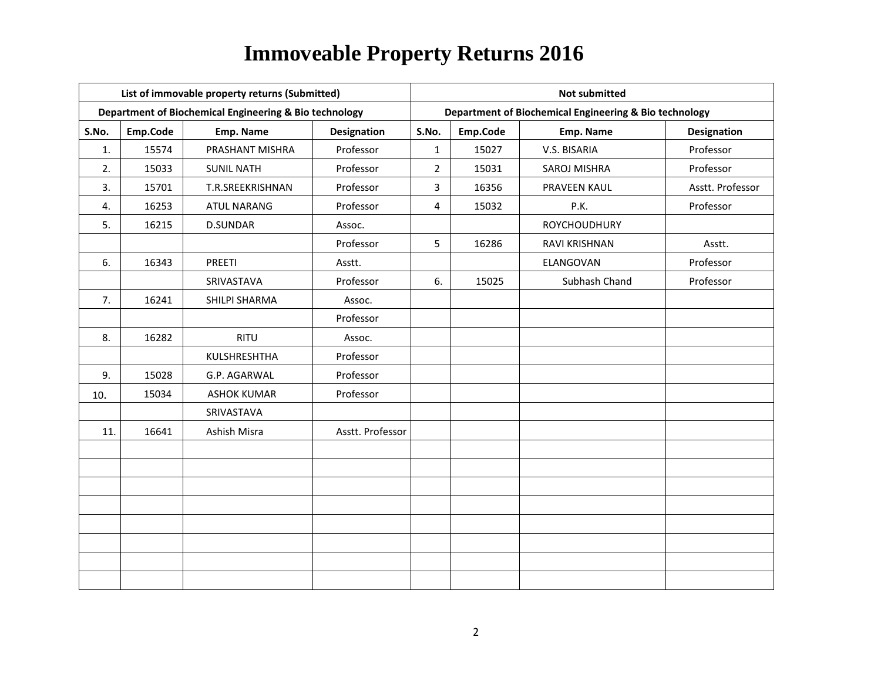|       |          | List of immovable property returns (Submitted)         |                    | <b>Not submitted</b> |          |                                                        |                    |  |
|-------|----------|--------------------------------------------------------|--------------------|----------------------|----------|--------------------------------------------------------|--------------------|--|
|       |          | Department of Biochemical Engineering & Bio technology |                    |                      |          | Department of Biochemical Engineering & Bio technology |                    |  |
| S.No. | Emp.Code | Emp. Name                                              | <b>Designation</b> | S.No.                | Emp.Code | Emp. Name                                              | <b>Designation</b> |  |
| 1.    | 15574    | PRASHANT MISHRA                                        | Professor          | $\mathbf{1}$         | 15027    | V.S. BISARIA                                           | Professor          |  |
| 2.    | 15033    | <b>SUNIL NATH</b>                                      | Professor          | $\overline{2}$       | 15031    | <b>SAROJ MISHRA</b>                                    | Professor          |  |
| 3.    | 15701    | T.R.SREEKRISHNAN                                       | Professor          | 3                    | 16356    | PRAVEEN KAUL                                           | Asstt. Professor   |  |
| 4.    | 16253    | <b>ATUL NARANG</b>                                     | Professor          | 4                    | 15032    | P.K.                                                   | Professor          |  |
| 5.    | 16215    | <b>D.SUNDAR</b>                                        | Assoc.             |                      |          | <b>ROYCHOUDHURY</b>                                    |                    |  |
|       |          |                                                        | Professor          | 5                    | 16286    | RAVI KRISHNAN                                          | Asstt.             |  |
| 6.    | 16343    | PREETI                                                 | Asstt.             |                      |          | ELANGOVAN                                              | Professor          |  |
|       |          | SRIVASTAVA                                             | Professor          | 6.                   | 15025    | Subhash Chand                                          | Professor          |  |
| 7.    | 16241    | SHILPI SHARMA                                          | Assoc.             |                      |          |                                                        |                    |  |
|       |          |                                                        | Professor          |                      |          |                                                        |                    |  |
| 8.    | 16282    | <b>RITU</b>                                            | Assoc.             |                      |          |                                                        |                    |  |
|       |          | KULSHRESHTHA                                           | Professor          |                      |          |                                                        |                    |  |
| 9.    | 15028    | G.P. AGARWAL                                           | Professor          |                      |          |                                                        |                    |  |
| 10.   | 15034    | <b>ASHOK KUMAR</b>                                     | Professor          |                      |          |                                                        |                    |  |
|       |          | SRIVASTAVA                                             |                    |                      |          |                                                        |                    |  |
| 11.   | 16641    | Ashish Misra                                           | Asstt. Professor   |                      |          |                                                        |                    |  |
|       |          |                                                        |                    |                      |          |                                                        |                    |  |
|       |          |                                                        |                    |                      |          |                                                        |                    |  |
|       |          |                                                        |                    |                      |          |                                                        |                    |  |
|       |          |                                                        |                    |                      |          |                                                        |                    |  |
|       |          |                                                        |                    |                      |          |                                                        |                    |  |
|       |          |                                                        |                    |                      |          |                                                        |                    |  |
|       |          |                                                        |                    |                      |          |                                                        |                    |  |
|       |          |                                                        |                    |                      |          |                                                        |                    |  |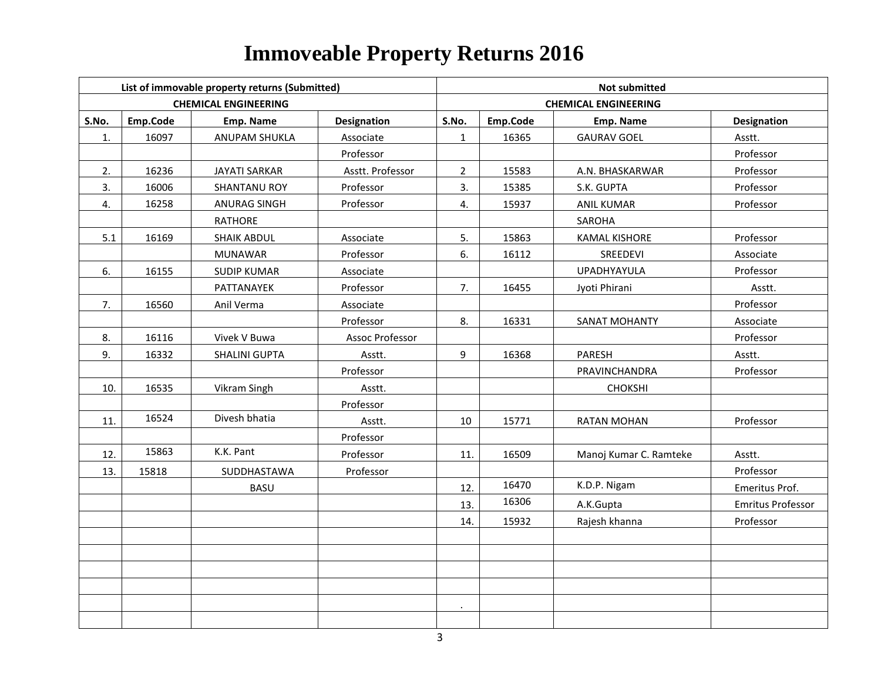|       |          | List of immovable property returns (Submitted) |                    | <b>Not submitted</b> |          |                             |                          |  |
|-------|----------|------------------------------------------------|--------------------|----------------------|----------|-----------------------------|--------------------------|--|
|       |          | <b>CHEMICAL ENGINEERING</b>                    |                    |                      |          | <b>CHEMICAL ENGINEERING</b> |                          |  |
| S.No. | Emp.Code | Emp. Name                                      | <b>Designation</b> | S.No.                | Emp.Code | Emp. Name                   | <b>Designation</b>       |  |
| 1.    | 16097    | ANUPAM SHUKLA                                  | Associate          | $\mathbf{1}$         | 16365    | <b>GAURAV GOEL</b>          | Asstt.                   |  |
|       |          |                                                | Professor          |                      |          |                             | Professor                |  |
| 2.    | 16236    | <b>JAYATI SARKAR</b>                           | Asstt. Professor   | $\overline{2}$       | 15583    | A.N. BHASKARWAR             | Professor                |  |
| 3.    | 16006    | <b>SHANTANU ROY</b>                            | Professor          | 3.                   | 15385    | S.K. GUPTA                  | Professor                |  |
| 4.    | 16258    | <b>ANURAG SINGH</b>                            | Professor          | 4.                   | 15937    | <b>ANIL KUMAR</b>           | Professor                |  |
|       |          | RATHORE                                        |                    |                      |          | SAROHA                      |                          |  |
| 5.1   | 16169    | <b>SHAIK ABDUL</b>                             | Associate          | 5.                   | 15863    | <b>KAMAL KISHORE</b>        | Professor                |  |
|       |          | <b>MUNAWAR</b>                                 | Professor          | 6.                   | 16112    | SREEDEVI                    | Associate                |  |
| 6.    | 16155    | <b>SUDIP KUMAR</b>                             | Associate          |                      |          | UPADHYAYULA                 | Professor                |  |
|       |          | PATTANAYEK                                     | Professor          | 7.                   | 16455    | Jyoti Phirani               | Asstt.                   |  |
| 7.    | 16560    | Anil Verma                                     | Associate          |                      |          |                             | Professor                |  |
|       |          |                                                | Professor          | 8.                   | 16331    | SANAT MOHANTY               | Associate                |  |
| 8.    | 16116    | Vivek V Buwa                                   | Assoc Professor    |                      |          |                             | Professor                |  |
| 9.    | 16332    | SHALINI GUPTA                                  | Asstt.             | 9                    | 16368    | PARESH                      | Asstt.                   |  |
|       |          |                                                | Professor          |                      |          | PRAVINCHANDRA               | Professor                |  |
| 10.   | 16535    | Vikram Singh                                   | Asstt.             |                      |          | CHOKSHI                     |                          |  |
|       |          |                                                | Professor          |                      |          |                             |                          |  |
| 11.   | 16524    | Divesh bhatia                                  | Asstt.             | 10                   | 15771    | <b>RATAN MOHAN</b>          | Professor                |  |
|       |          |                                                | Professor          |                      |          |                             |                          |  |
| 12.   | 15863    | K.K. Pant                                      | Professor          | 11.                  | 16509    | Manoj Kumar C. Ramteke      | Asstt.                   |  |
| 13.   | 15818    | SUDDHASTAWA                                    | Professor          |                      |          |                             | Professor                |  |
|       |          | <b>BASU</b>                                    |                    | 12.                  | 16470    | K.D.P. Nigam                | Emeritus Prof.           |  |
|       |          |                                                |                    | 13.                  | 16306    | A.K.Gupta                   | <b>Emritus Professor</b> |  |
|       |          |                                                |                    | 14.                  | 15932    | Rajesh khanna               | Professor                |  |
|       |          |                                                |                    |                      |          |                             |                          |  |
|       |          |                                                |                    |                      |          |                             |                          |  |
|       |          |                                                |                    |                      |          |                             |                          |  |
|       |          |                                                |                    |                      |          |                             |                          |  |
|       |          |                                                |                    |                      |          |                             |                          |  |
|       |          |                                                |                    |                      |          |                             |                          |  |

4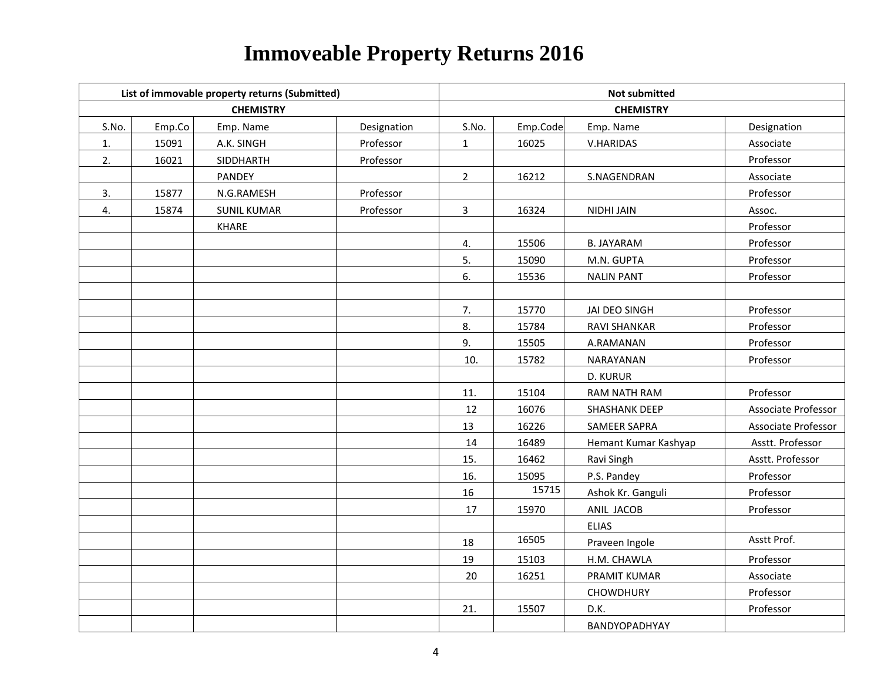|       |        | List of immovable property returns (Submitted) |             | <b>Not submitted</b> |          |                      |                     |  |
|-------|--------|------------------------------------------------|-------------|----------------------|----------|----------------------|---------------------|--|
|       |        | <b>CHEMISTRY</b>                               |             | <b>CHEMISTRY</b>     |          |                      |                     |  |
| S.No. | Emp.Co | Emp. Name                                      | Designation | S.No.                | Emp.Code | Emp. Name            | Designation         |  |
| 1.    | 15091  | A.K. SINGH                                     | Professor   | $\mathbf{1}$         | 16025    | V.HARIDAS            | Associate           |  |
| 2.    | 16021  | SIDDHARTH                                      | Professor   |                      |          |                      | Professor           |  |
|       |        | PANDEY                                         |             | $\overline{2}$       | 16212    | S.NAGENDRAN          | Associate           |  |
| 3.    | 15877  | N.G.RAMESH                                     | Professor   |                      |          |                      | Professor           |  |
| 4.    | 15874  | <b>SUNIL KUMAR</b>                             | Professor   | $\mathbf{3}$         | 16324    | NIDHI JAIN           | Assoc.              |  |
|       |        | KHARE                                          |             |                      |          |                      | Professor           |  |
|       |        |                                                |             | 4.                   | 15506    | <b>B. JAYARAM</b>    | Professor           |  |
|       |        |                                                |             | 5.                   | 15090    | M.N. GUPTA           | Professor           |  |
|       |        |                                                |             | 6.                   | 15536    | <b>NALIN PANT</b>    | Professor           |  |
|       |        |                                                |             |                      |          |                      |                     |  |
|       |        |                                                |             | 7.                   | 15770    | JAI DEO SINGH        | Professor           |  |
|       |        |                                                |             | 8.                   | 15784    | RAVI SHANKAR         | Professor           |  |
|       |        |                                                |             | 9.                   | 15505    | A.RAMANAN            | Professor           |  |
|       |        |                                                |             | 10.                  | 15782    | NARAYANAN            | Professor           |  |
|       |        |                                                |             |                      |          | <b>D. KURUR</b>      |                     |  |
|       |        |                                                |             | 11.                  | 15104    | RAM NATH RAM         | Professor           |  |
|       |        |                                                |             | 12                   | 16076    | <b>SHASHANK DEEP</b> | Associate Professor |  |
|       |        |                                                |             | 13                   | 16226    | SAMEER SAPRA         | Associate Professor |  |
|       |        |                                                |             | 14                   | 16489    | Hemant Kumar Kashyap | Asstt. Professor    |  |
|       |        |                                                |             | 15.                  | 16462    | Ravi Singh           | Asstt. Professor    |  |
|       |        |                                                |             | 16.                  | 15095    | P.S. Pandey          | Professor           |  |
|       |        |                                                |             | 16                   | 15715    | Ashok Kr. Ganguli    | Professor           |  |
|       |        |                                                |             | 17                   | 15970    | ANIL JACOB           | Professor           |  |
|       |        |                                                |             |                      |          | <b>ELIAS</b>         |                     |  |
|       |        |                                                |             | 18                   | 16505    | Praveen Ingole       | Asstt Prof.         |  |
|       |        |                                                |             | 19                   | 15103    | H.M. CHAWLA          | Professor           |  |
|       |        |                                                |             | 20                   | 16251    | PRAMIT KUMAR         | Associate           |  |
|       |        |                                                |             |                      |          | <b>CHOWDHURY</b>     | Professor           |  |
|       |        |                                                |             | 21.                  | 15507    | D.K.                 | Professor           |  |
|       |        |                                                |             |                      |          | BANDYOPADHYAY        |                     |  |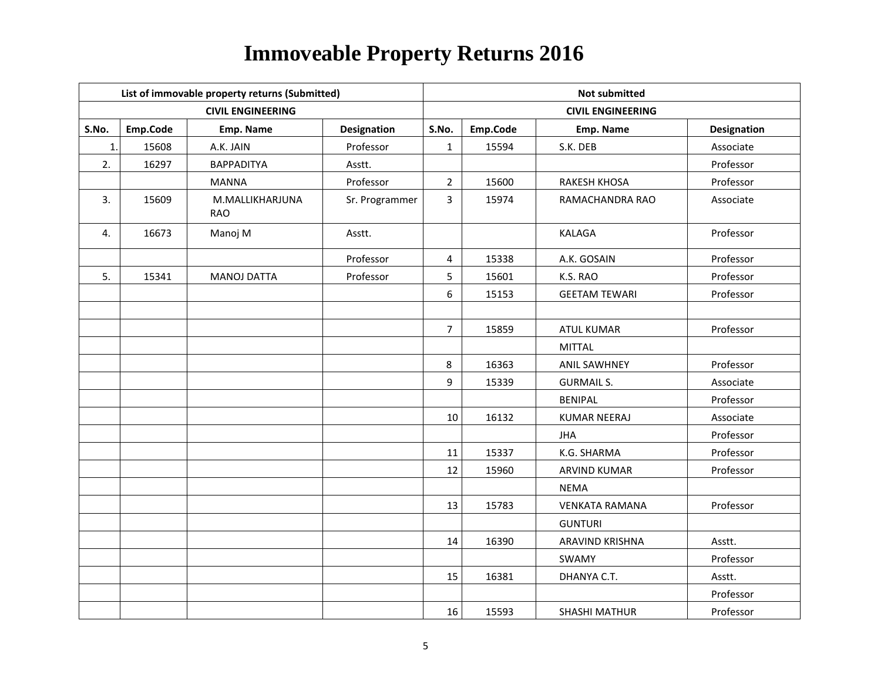|       |          | List of immovable property returns (Submitted) |                    | <b>Not submitted</b> |          |                          |                    |  |
|-------|----------|------------------------------------------------|--------------------|----------------------|----------|--------------------------|--------------------|--|
|       |          | <b>CIVIL ENGINEERING</b>                       |                    |                      |          | <b>CIVIL ENGINEERING</b> |                    |  |
| S.No. | Emp.Code | Emp. Name                                      | <b>Designation</b> | S.No.                | Emp.Code | Emp. Name                | <b>Designation</b> |  |
| 1.    | 15608    | A.K. JAIN                                      | Professor          | $\mathbf{1}$         | 15594    | S.K. DEB                 | Associate          |  |
| 2.    | 16297    | <b>BAPPADITYA</b>                              | Asstt.             |                      |          |                          | Professor          |  |
|       |          | <b>MANNA</b>                                   | Professor          | $\overline{2}$       | 15600    | RAKESH KHOSA             | Professor          |  |
| 3.    | 15609    | M.MALLIKHARJUNA<br><b>RAO</b>                  | Sr. Programmer     | 3                    | 15974    | RAMACHANDRA RAO          | Associate          |  |
| 4.    | 16673    | Manoj M                                        | Asstt.             |                      |          | <b>KALAGA</b>            | Professor          |  |
|       |          |                                                | Professor          | 4                    | 15338    | A.K. GOSAIN              | Professor          |  |
| 5.    | 15341    | <b>MANOJ DATTA</b>                             | Professor          | 5                    | 15601    | K.S. RAO                 | Professor          |  |
|       |          |                                                |                    | 6                    | 15153    | <b>GEETAM TEWARI</b>     | Professor          |  |
|       |          |                                                |                    |                      |          |                          |                    |  |
|       |          |                                                |                    | $\overline{7}$       | 15859    | <b>ATUL KUMAR</b>        | Professor          |  |
|       |          |                                                |                    |                      |          | <b>MITTAL</b>            |                    |  |
|       |          |                                                |                    | 8                    | 16363    | <b>ANIL SAWHNEY</b>      | Professor          |  |
|       |          |                                                |                    | 9                    | 15339    | <b>GURMAIL S.</b>        | Associate          |  |
|       |          |                                                |                    |                      |          | <b>BENIPAL</b>           | Professor          |  |
|       |          |                                                |                    | 10                   | 16132    | <b>KUMAR NEERAJ</b>      | Associate          |  |
|       |          |                                                |                    |                      |          | <b>JHA</b>               | Professor          |  |
|       |          |                                                |                    | 11                   | 15337    | K.G. SHARMA              | Professor          |  |
|       |          |                                                |                    | 12                   | 15960    | <b>ARVIND KUMAR</b>      | Professor          |  |
|       |          |                                                |                    |                      |          | <b>NEMA</b>              |                    |  |
|       |          |                                                |                    | 13                   | 15783    | <b>VENKATA RAMANA</b>    | Professor          |  |
|       |          |                                                |                    |                      |          | <b>GUNTURI</b>           |                    |  |
|       |          |                                                |                    | 14                   | 16390    | ARAVIND KRISHNA          | Asstt.             |  |
|       |          |                                                |                    |                      |          | SWAMY                    | Professor          |  |
|       |          |                                                |                    | 15                   | 16381    | DHANYA C.T.              | Asstt.             |  |
|       |          |                                                |                    |                      |          |                          | Professor          |  |
|       |          |                                                |                    | 16                   | 15593    | <b>SHASHI MATHUR</b>     | Professor          |  |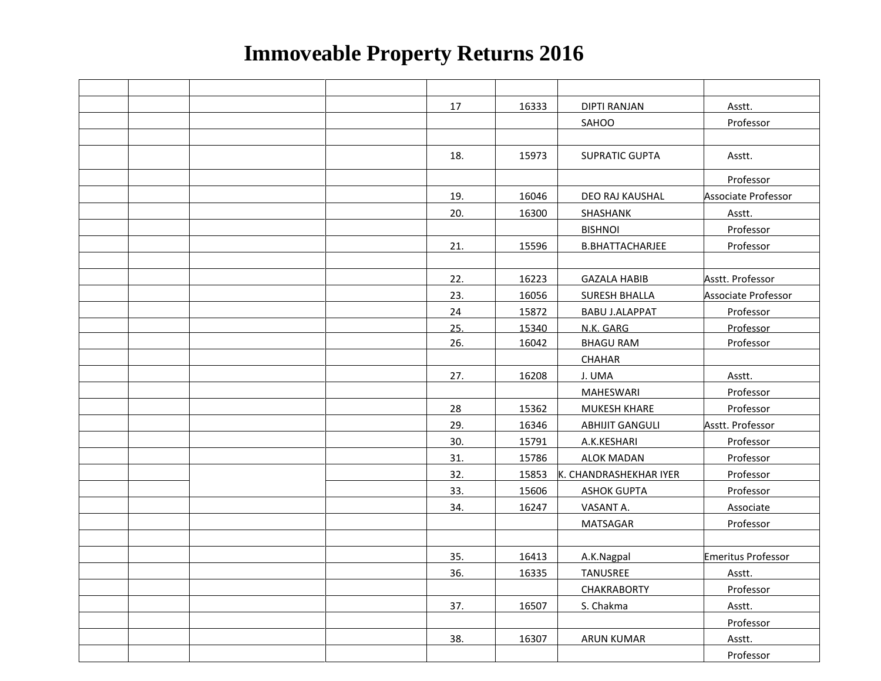|  |  | 17  | 16333 | <b>DIPTI RANJAN</b>    | Asstt.                    |
|--|--|-----|-------|------------------------|---------------------------|
|  |  |     |       | SAHOO                  | Professor                 |
|  |  |     |       |                        |                           |
|  |  | 18. | 15973 | <b>SUPRATIC GUPTA</b>  | Asstt.                    |
|  |  |     |       |                        | Professor                 |
|  |  | 19. | 16046 | DEO RAJ KAUSHAL        | Associate Professor       |
|  |  | 20. | 16300 | SHASHANK               | Asstt.                    |
|  |  |     |       | <b>BISHNOI</b>         | Professor                 |
|  |  | 21. | 15596 | <b>B.BHATTACHARJEE</b> | Professor                 |
|  |  |     |       |                        |                           |
|  |  | 22. | 16223 | <b>GAZALA HABIB</b>    | Asstt. Professor          |
|  |  | 23. | 16056 | <b>SURESH BHALLA</b>   | Associate Professor       |
|  |  | 24  | 15872 | <b>BABU J.ALAPPAT</b>  | Professor                 |
|  |  | 25. | 15340 | N.K. GARG              | Professor                 |
|  |  | 26. | 16042 | <b>BHAGU RAM</b>       | Professor                 |
|  |  |     |       | CHAHAR                 |                           |
|  |  | 27. | 16208 | J. UMA                 | Asstt.                    |
|  |  |     |       | <b>MAHESWARI</b>       | Professor                 |
|  |  | 28  | 15362 | <b>MUKESH KHARE</b>    | Professor                 |
|  |  | 29. | 16346 | <b>ABHIJIT GANGULI</b> | Asstt. Professor          |
|  |  | 30. | 15791 | A.K.KESHARI            | Professor                 |
|  |  | 31. | 15786 | <b>ALOK MADAN</b>      | Professor                 |
|  |  | 32. | 15853 | K. CHANDRASHEKHAR IYER | Professor                 |
|  |  | 33. | 15606 | <b>ASHOK GUPTA</b>     | Professor                 |
|  |  | 34. | 16247 | VASANT A.              | Associate                 |
|  |  |     |       | <b>MATSAGAR</b>        | Professor                 |
|  |  |     |       |                        |                           |
|  |  | 35. | 16413 | A.K.Nagpal             | <b>Emeritus Professor</b> |
|  |  | 36. | 16335 | <b>TANUSREE</b>        | Asstt.                    |
|  |  |     |       | <b>CHAKRABORTY</b>     | Professor                 |
|  |  | 37. | 16507 | S. Chakma              | Asstt.                    |
|  |  |     |       |                        | Professor                 |
|  |  | 38. | 16307 | <b>ARUN KUMAR</b>      | Asstt.                    |
|  |  |     |       |                        | Professor                 |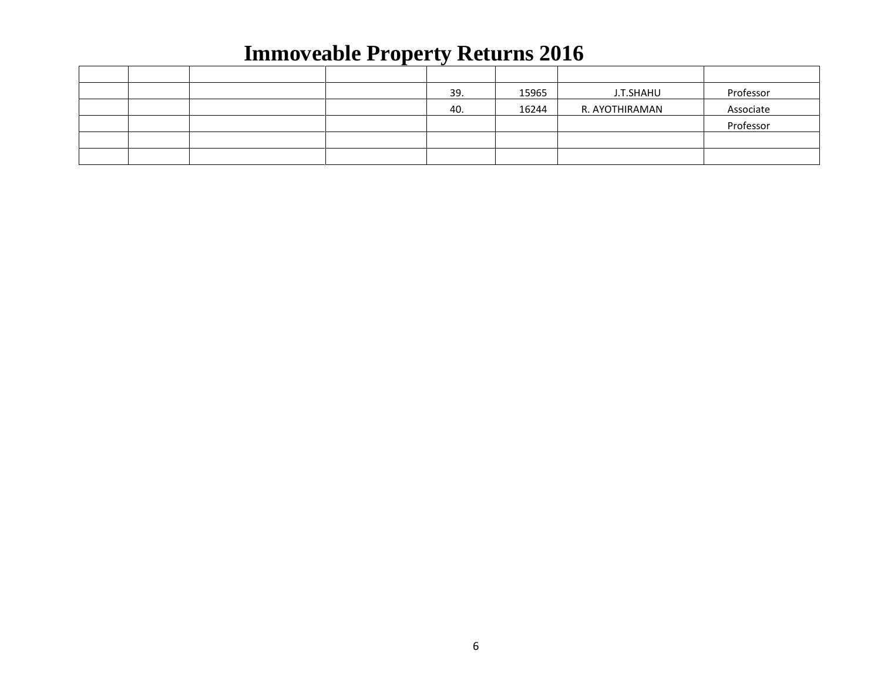|  |  | - 27 |       |                |           |
|--|--|------|-------|----------------|-----------|
|  |  |      |       |                |           |
|  |  | 39.  | 15965 | J.T.SHAHU      | Professor |
|  |  | 40.  | 16244 | R. AYOTHIRAMAN | Associate |
|  |  |      |       |                | Professor |
|  |  |      |       |                |           |
|  |  |      |       |                |           |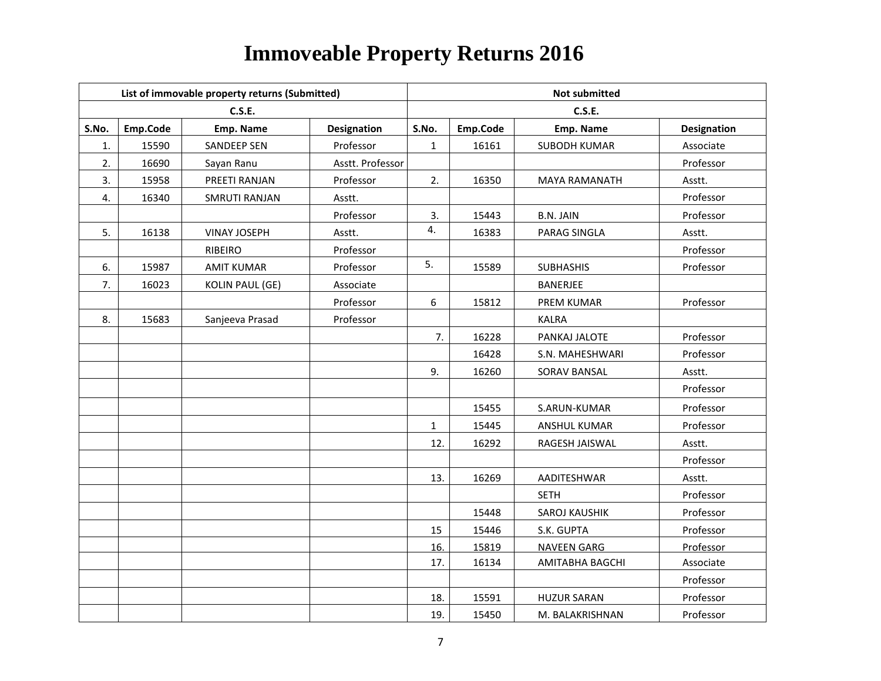|       |          | List of immovable property returns (Submitted) |                    | <b>Not submitted</b> |          |                      |                    |  |  |
|-------|----------|------------------------------------------------|--------------------|----------------------|----------|----------------------|--------------------|--|--|
|       |          | <b>C.S.E.</b>                                  |                    |                      |          | <b>C.S.E.</b>        |                    |  |  |
| S.No. | Emp.Code | Emp. Name                                      | <b>Designation</b> | S.No.                | Emp.Code | Emp. Name            | <b>Designation</b> |  |  |
| 1.    | 15590    | <b>SANDEEP SEN</b>                             | Professor          | $\mathbf{1}$         | 16161    | <b>SUBODH KUMAR</b>  | Associate          |  |  |
| 2.    | 16690    | Sayan Ranu                                     | Asstt. Professor   |                      |          |                      | Professor          |  |  |
| 3.    | 15958    | PREETI RANJAN                                  | Professor          | 2.                   | 16350    | <b>MAYA RAMANATH</b> | Asstt.             |  |  |
| 4.    | 16340    | SMRUTI RANJAN                                  | Asstt.             |                      |          |                      | Professor          |  |  |
|       |          |                                                | Professor          | 3.                   | 15443    | <b>B.N. JAIN</b>     | Professor          |  |  |
| 5.    | 16138    | <b>VINAY JOSEPH</b>                            | Asstt.             | 4.                   | 16383    | PARAG SINGLA         | Asstt.             |  |  |
|       |          | <b>RIBEIRO</b>                                 | Professor          |                      |          |                      | Professor          |  |  |
| 6.    | 15987    | <b>AMIT KUMAR</b>                              | Professor          | 5.                   | 15589    | <b>SUBHASHIS</b>     | Professor          |  |  |
| 7.    | 16023    | <b>KOLIN PAUL (GE)</b>                         | Associate          |                      |          | <b>BANERJEE</b>      |                    |  |  |
|       |          |                                                | Professor          | 6                    | 15812    | PREM KUMAR           | Professor          |  |  |
| 8.    | 15683    | Sanjeeva Prasad                                | Professor          |                      |          | <b>KALRA</b>         |                    |  |  |
|       |          |                                                |                    | 7.                   | 16228    | PANKAJ JALOTE        | Professor          |  |  |
|       |          |                                                |                    |                      | 16428    | S.N. MAHESHWARI      | Professor          |  |  |
|       |          |                                                |                    | 9.                   | 16260    | SORAV BANSAL         | Asstt.             |  |  |
|       |          |                                                |                    |                      |          |                      | Professor          |  |  |
|       |          |                                                |                    |                      | 15455    | S.ARUN-KUMAR         | Professor          |  |  |
|       |          |                                                |                    | $\mathbf{1}$         | 15445    | ANSHUL KUMAR         | Professor          |  |  |
|       |          |                                                |                    | 12.                  | 16292    | RAGESH JAISWAL       | Asstt.             |  |  |
|       |          |                                                |                    |                      |          |                      | Professor          |  |  |
|       |          |                                                |                    | 13.                  | 16269    | AADITESHWAR          | Asstt.             |  |  |
|       |          |                                                |                    |                      |          | <b>SETH</b>          | Professor          |  |  |
|       |          |                                                |                    |                      | 15448    | SAROJ KAUSHIK        | Professor          |  |  |
|       |          |                                                |                    | 15                   | 15446    | S.K. GUPTA           | Professor          |  |  |
|       |          |                                                |                    | 16.                  | 15819    | <b>NAVEEN GARG</b>   | Professor          |  |  |
|       |          |                                                |                    | 17.                  | 16134    | AMITABHA BAGCHI      | Associate          |  |  |
|       |          |                                                |                    |                      |          |                      | Professor          |  |  |
|       |          |                                                |                    | 18.                  | 15591    | <b>HUZUR SARAN</b>   | Professor          |  |  |
|       |          |                                                |                    | 19.                  | 15450    | M. BALAKRISHNAN      | Professor          |  |  |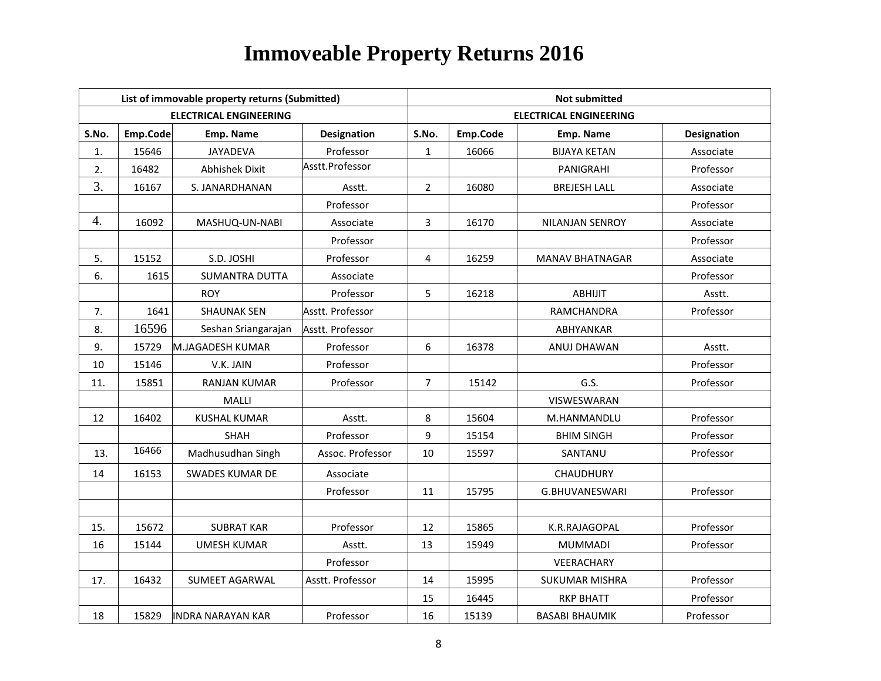|       |          | List of immovable property returns (Submitted) |                    | <b>Not submitted</b> |          |                               |                    |  |  |
|-------|----------|------------------------------------------------|--------------------|----------------------|----------|-------------------------------|--------------------|--|--|
|       |          | <b>ELECTRICAL ENGINEERING</b>                  |                    |                      |          | <b>ELECTRICAL ENGINEERING</b> |                    |  |  |
| S.No. | Emp.Code | <b>Emp. Name</b>                               | <b>Designation</b> | S.No.                | Emp.Code | Emp. Name                     | <b>Designation</b> |  |  |
| 1.    | 15646    | JAYADEVA                                       | Professor          | $\mathbf{1}$         | 16066    | <b>BIJAYA KETAN</b>           | Associate          |  |  |
| 2.    | 16482    | <b>Abhishek Dixit</b>                          | Asstt.Professor    |                      |          | PANIGRAHI                     | Professor          |  |  |
| 3.    | 16167    | S. JANARDHANAN                                 | Asstt.             | $\overline{2}$       | 16080    | <b>BREJESH LALL</b>           | Associate          |  |  |
|       |          |                                                | Professor          |                      |          |                               | Professor          |  |  |
| 4.    | 16092    | MASHUQ-UN-NABI                                 | Associate          | 3                    | 16170    | NILANJAN SENROY               | Associate          |  |  |
|       |          |                                                | Professor          |                      |          |                               | Professor          |  |  |
| 5.    | 15152    | S.D. JOSHI                                     | Professor          | 4                    | 16259    | <b>MANAV BHATNAGAR</b>        | Associate          |  |  |
| 6.    | 1615     | <b>SUMANTRA DUTTA</b>                          | Associate          |                      |          |                               | Professor          |  |  |
|       |          | <b>ROY</b>                                     | Professor          | 5                    | 16218    | ABHIJIT                       | Asstt.             |  |  |
| 7.    | 1641     | <b>SHAUNAK SEN</b>                             | Asstt. Professor   |                      |          | RAMCHANDRA                    | Professor          |  |  |
| 8.    | 16596    | Seshan Sriangarajan                            | Asstt. Professor   |                      |          | ABHYANKAR                     |                    |  |  |
| 9.    | 15729    | M.JAGADESH KUMAR                               | Professor          | 6                    | 16378    | ANUJ DHAWAN                   | Asstt.             |  |  |
| 10    | 15146    | V.K. JAIN                                      | Professor          |                      |          |                               | Professor          |  |  |
| 11.   | 15851    | <b>RANJAN KUMAR</b>                            | Professor          | 7                    | 15142    | G.S.                          | Professor          |  |  |
|       |          | MALLI                                          |                    |                      |          | VISWESWARAN                   |                    |  |  |
| 12    | 16402    | <b>KUSHAL KUMAR</b>                            | Asstt.             | 8                    | 15604    | M.HANMANDLU                   | Professor          |  |  |
|       |          | <b>SHAH</b>                                    | Professor          | 9                    | 15154    | <b>BHIM SINGH</b>             | Professor          |  |  |
| 13.   | 16466    | Madhusudhan Singh                              | Assoc. Professor   | 10                   | 15597    | SANTANU                       | Professor          |  |  |
| 14    | 16153    | <b>SWADES KUMAR DE</b>                         | Associate          |                      |          | CHAUDHURY                     |                    |  |  |
|       |          |                                                | Professor          | 11                   | 15795    | G.BHUVANESWARI                | Professor          |  |  |
|       |          |                                                |                    |                      |          |                               |                    |  |  |
| 15.   | 15672    | <b>SUBRAT KAR</b>                              | Professor          | 12                   | 15865    | K.R.RAJAGOPAL                 | Professor          |  |  |
| 16    | 15144    | <b>UMESH KUMAR</b>                             | Asstt.             | 13                   | 15949    | <b>MUMMADI</b>                | Professor          |  |  |
|       |          |                                                | Professor          |                      |          | VEERACHARY                    |                    |  |  |
| 17.   | 16432    | <b>SUMEET AGARWAL</b>                          | Asstt. Professor   | 14                   | 15995    | <b>SUKUMAR MISHRA</b>         | Professor          |  |  |
|       |          |                                                |                    | 15                   | 16445    | <b>RKP BHATT</b>              | Professor          |  |  |
| 18    | 15829    | INDRA NARAYAN KAR                              | Professor          | 16                   | 15139    | <b>BASABI BHAUMIK</b>         | Professor          |  |  |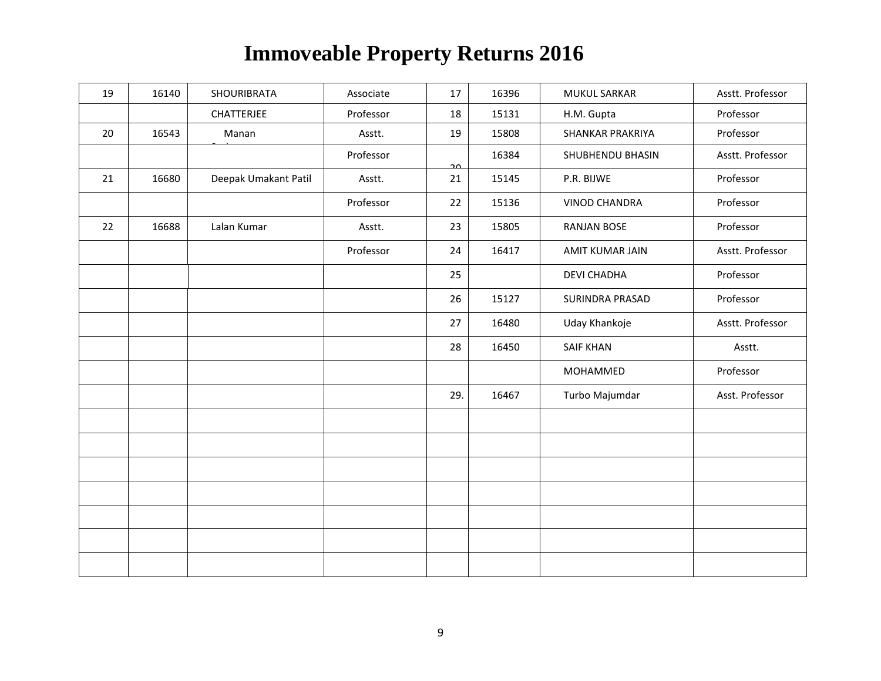| 19 | 16140 | SHOURIBRATA          | Associate | 17  | 16396 | <b>MUKUL SARKAR</b>  | Asstt. Professor |
|----|-------|----------------------|-----------|-----|-------|----------------------|------------------|
|    |       | <b>CHATTERJEE</b>    | Professor | 18  | 15131 | H.M. Gupta           | Professor        |
| 20 | 16543 | Manan                | Asstt.    | 19  | 15808 | SHANKAR PRAKRIYA     | Professor        |
|    |       |                      | Professor | مم  | 16384 | SHUBHENDU BHASIN     | Asstt. Professor |
| 21 | 16680 | Deepak Umakant Patil | Asstt.    | 21  | 15145 | P.R. BIJWE           | Professor        |
|    |       |                      | Professor | 22  | 15136 | <b>VINOD CHANDRA</b> | Professor        |
| 22 | 16688 | Lalan Kumar          | Asstt.    | 23  | 15805 | <b>RANJAN BOSE</b>   | Professor        |
|    |       |                      | Professor | 24  | 16417 | AMIT KUMAR JAIN      | Asstt. Professor |
|    |       |                      |           | 25  |       | <b>DEVI CHADHA</b>   | Professor        |
|    |       |                      |           | 26  | 15127 | SURINDRA PRASAD      | Professor        |
|    |       |                      |           | 27  | 16480 | Uday Khankoje        | Asstt. Professor |
|    |       |                      |           | 28  | 16450 | <b>SAIF KHAN</b>     | Asstt.           |
|    |       |                      |           |     |       | MOHAMMED             | Professor        |
|    |       |                      |           | 29. | 16467 | Turbo Majumdar       | Asst. Professor  |
|    |       |                      |           |     |       |                      |                  |
|    |       |                      |           |     |       |                      |                  |
|    |       |                      |           |     |       |                      |                  |
|    |       |                      |           |     |       |                      |                  |
|    |       |                      |           |     |       |                      |                  |
|    |       |                      |           |     |       |                      |                  |
|    |       |                      |           |     |       |                      |                  |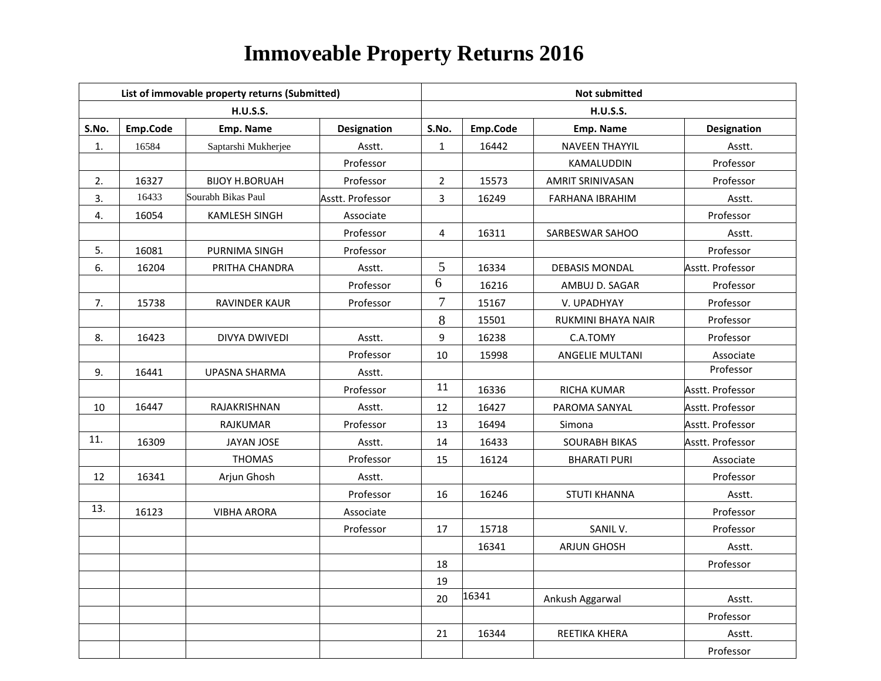|       |          | List of immovable property returns (Submitted) |                  | <b>Not submitted</b> |          |                         |                  |  |  |
|-------|----------|------------------------------------------------|------------------|----------------------|----------|-------------------------|------------------|--|--|
|       |          | <b>H.U.S.S.</b>                                |                  |                      |          | <b>H.U.S.S.</b>         |                  |  |  |
| S.No. | Emp.Code | Emp. Name                                      | Designation      | S.No.                | Emp.Code | Emp. Name               | Designation      |  |  |
| 1.    | 16584    | Saptarshi Mukherjee                            | Asstt.           | $\mathbf{1}$         | 16442    | <b>NAVEEN THAYYIL</b>   | Asstt.           |  |  |
|       |          |                                                | Professor        |                      |          | KAMALUDDIN              | Professor        |  |  |
| 2.    | 16327    | <b>BIJOY H.BORUAH</b>                          | Professor        | $\overline{2}$       | 15573    | <b>AMRIT SRINIVASAN</b> | Professor        |  |  |
| 3.    | 16433    | Sourabh Bikas Paul                             | Asstt. Professor | $\overline{3}$       | 16249    | FARHANA IBRAHIM         | Asstt.           |  |  |
| 4.    | 16054    | <b>KAMLESH SINGH</b>                           | Associate        |                      |          |                         | Professor        |  |  |
|       |          |                                                | Professor        | 4                    | 16311    | SARBESWAR SAHOO         | Asstt.           |  |  |
| 5.    | 16081    | PURNIMA SINGH                                  | Professor        |                      |          |                         | Professor        |  |  |
| 6.    | 16204    | PRITHA CHANDRA                                 | Asstt.           | 5                    | 16334    | DEBASIS MONDAL          | Asstt. Professor |  |  |
|       |          |                                                | Professor        | 6                    | 16216    | AMBUJ D. SAGAR          | Professor        |  |  |
| 7.    | 15738    | <b>RAVINDER KAUR</b>                           | Professor        | $\tau$               | 15167    | V. UPADHYAY             | Professor        |  |  |
|       |          |                                                |                  | 8                    | 15501    | RUKMINI BHAYA NAIR      | Professor        |  |  |
| 8.    | 16423    | DIVYA DWIVEDI                                  | Asstt.           | 9                    | 16238    | C.A.TOMY                | Professor        |  |  |
|       |          |                                                | Professor        | $10\,$               | 15998    | ANGELIE MULTANI         | Associate        |  |  |
| 9.    | 16441    | <b>UPASNA SHARMA</b>                           | Asstt.           |                      |          |                         | Professor        |  |  |
|       |          |                                                | Professor        | 11                   | 16336    | RICHA KUMAR             | Asstt. Professor |  |  |
| 10    | 16447    | RAJAKRISHNAN                                   | Asstt.           | 12                   | 16427    | PAROMA SANYAL           | Asstt. Professor |  |  |
|       |          | <b>RAJKUMAR</b>                                | Professor        | 13                   | 16494    | Simona                  | Asstt. Professor |  |  |
| 11.   | 16309    | <b>JAYAN JOSE</b>                              | Asstt.           | 14                   | 16433    | <b>SOURABH BIKAS</b>    | Asstt. Professor |  |  |
|       |          | <b>THOMAS</b>                                  | Professor        | 15                   | 16124    | <b>BHARATI PURI</b>     | Associate        |  |  |
| 12    | 16341    | Arjun Ghosh                                    | Asstt.           |                      |          |                         | Professor        |  |  |
|       |          |                                                | Professor        | 16                   | 16246    | <b>STUTI KHANNA</b>     | Asstt.           |  |  |
| 13.   | 16123    | <b>VIBHA ARORA</b>                             | Associate        |                      |          |                         | Professor        |  |  |
|       |          |                                                | Professor        | 17                   | 15718    | SANIL V.                | Professor        |  |  |
|       |          |                                                |                  |                      | 16341    | <b>ARJUN GHOSH</b>      | Asstt.           |  |  |
|       |          |                                                |                  | $18\,$               |          |                         | Professor        |  |  |
|       |          |                                                |                  | 19                   |          |                         |                  |  |  |
|       |          |                                                |                  | 20                   | 16341    | Ankush Aggarwal         | Asstt.           |  |  |
|       |          |                                                |                  |                      |          |                         | Professor        |  |  |
|       |          |                                                |                  | 21                   | 16344    | REETIKA KHERA           | Asstt.           |  |  |
|       |          |                                                |                  |                      |          |                         | Professor        |  |  |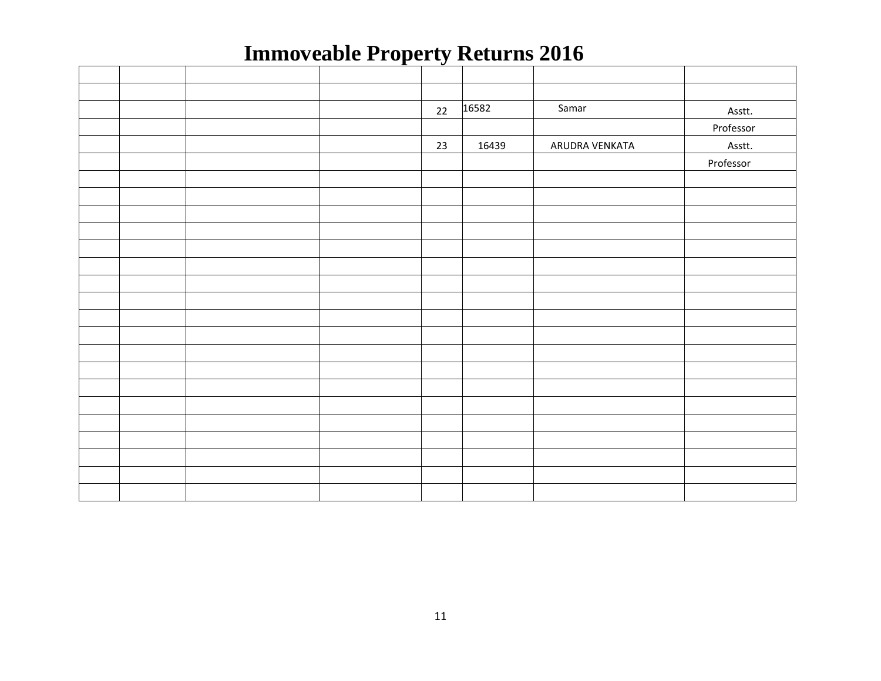|  |  | 22 | 16582 | Samar          | Asstt.    |
|--|--|----|-------|----------------|-----------|
|  |  |    |       |                | Professor |
|  |  | 23 | 16439 | ARUDRA VENKATA | Asstt.    |
|  |  |    |       |                | Professor |
|  |  |    |       |                |           |
|  |  |    |       |                |           |
|  |  |    |       |                |           |
|  |  |    |       |                |           |
|  |  |    |       |                |           |
|  |  |    |       |                |           |
|  |  |    |       |                |           |
|  |  |    |       |                |           |
|  |  |    |       |                |           |
|  |  |    |       |                |           |
|  |  |    |       |                |           |
|  |  |    |       |                |           |
|  |  |    |       |                |           |
|  |  |    |       |                |           |
|  |  |    |       |                |           |
|  |  |    |       |                |           |
|  |  |    |       |                |           |
|  |  |    |       |                |           |
|  |  |    |       |                |           |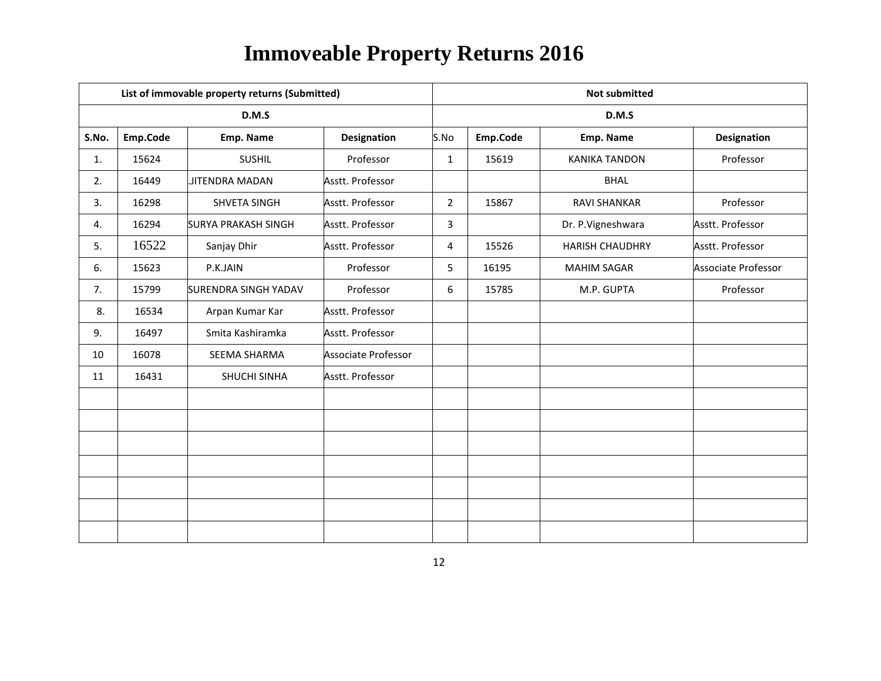|          |                             |                     | <b>Not submitted</b>                           |          |                        |                     |  |
|----------|-----------------------------|---------------------|------------------------------------------------|----------|------------------------|---------------------|--|
|          | D.M.S                       |                     |                                                |          | D.M.S                  |                     |  |
| Emp.Code | Emp. Name                   | <b>Designation</b>  | S.No                                           | Emp.Code | Emp. Name              | <b>Designation</b>  |  |
| 15624    | <b>SUSHIL</b>               | Professor           | $\mathbf{1}$                                   | 15619    | <b>KANIKA TANDON</b>   | Professor           |  |
| 16449    | JITENDRA MADAN              | Asstt. Professor    |                                                |          | <b>BHAL</b>            |                     |  |
| 16298    | SHVETA SINGH                | Asstt. Professor    | $\overline{2}$                                 | 15867    | <b>RAVI SHANKAR</b>    | Professor           |  |
| 16294    | <b>SURYA PRAKASH SINGH</b>  | Asstt. Professor    | 3                                              |          | Dr. P.Vigneshwara      | Asstt. Professor    |  |
| 16522    | Sanjay Dhir                 | Asstt. Professor    | 4                                              | 15526    | <b>HARISH CHAUDHRY</b> | Asstt. Professor    |  |
| 15623    | P.K.JAIN                    | Professor           | 5                                              | 16195    | <b>MAHIM SAGAR</b>     | Associate Professor |  |
| 15799    | <b>SURENDRA SINGH YADAV</b> | Professor           | 6                                              | 15785    | M.P. GUPTA             | Professor           |  |
| 16534    | Arpan Kumar Kar             | Asstt. Professor    |                                                |          |                        |                     |  |
| 16497    | Smita Kashiramka            | Asstt. Professor    |                                                |          |                        |                     |  |
| 16078    | SEEMA SHARMA                | Associate Professor |                                                |          |                        |                     |  |
| 16431    | SHUCHI SINHA                | Asstt. Professor    |                                                |          |                        |                     |  |
|          |                             |                     |                                                |          |                        |                     |  |
|          |                             |                     |                                                |          |                        |                     |  |
|          |                             |                     |                                                |          |                        |                     |  |
|          |                             |                     |                                                |          |                        |                     |  |
|          |                             |                     |                                                |          |                        |                     |  |
|          |                             |                     |                                                |          |                        |                     |  |
|          |                             |                     |                                                |          |                        |                     |  |
|          |                             |                     | List of immovable property returns (Submitted) |          |                        |                     |  |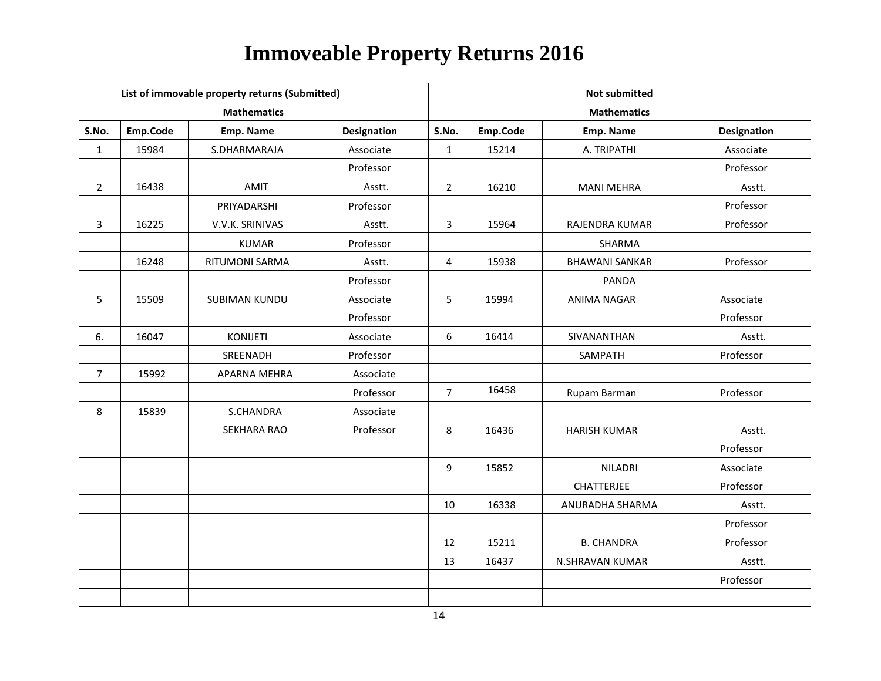|                |          | List of immovable property returns (Submitted) |                    |                | <b>Not submitted</b> |                       |                    |  |  |
|----------------|----------|------------------------------------------------|--------------------|----------------|----------------------|-----------------------|--------------------|--|--|
|                |          | <b>Mathematics</b>                             |                    |                |                      | <b>Mathematics</b>    |                    |  |  |
| S.No.          | Emp.Code | Emp. Name                                      | <b>Designation</b> | S.No.          | Emp.Code             | Emp. Name             | <b>Designation</b> |  |  |
| $\mathbf{1}$   | 15984    | S.DHARMARAJA                                   | Associate          | $\mathbf{1}$   | 15214                | A. TRIPATHI           | Associate          |  |  |
|                |          |                                                | Professor          |                |                      |                       | Professor          |  |  |
| $\overline{2}$ | 16438    | <b>AMIT</b>                                    | Asstt.             | $\overline{2}$ | 16210                | <b>MANI MEHRA</b>     | Asstt.             |  |  |
|                |          | PRIYADARSHI                                    | Professor          |                |                      |                       | Professor          |  |  |
| 3              | 16225    | V.V.K. SRINIVAS                                | Asstt.             | 3              | 15964                | <b>RAJENDRA KUMAR</b> | Professor          |  |  |
|                |          | <b>KUMAR</b>                                   | Professor          |                |                      | <b>SHARMA</b>         |                    |  |  |
|                | 16248    | RITUMONI SARMA                                 | Asstt.             | 4              | 15938                | <b>BHAWANI SANKAR</b> | Professor          |  |  |
|                |          |                                                | Professor          |                |                      | <b>PANDA</b>          |                    |  |  |
| 5              | 15509    | <b>SUBIMAN KUNDU</b>                           | Associate          | 5              | 15994                | <b>ANIMA NAGAR</b>    | Associate          |  |  |
|                |          |                                                | Professor          |                |                      |                       | Professor          |  |  |
| 6.             | 16047    | <b>KONIJETI</b>                                | Associate          | 6              | 16414                | SIVANANTHAN           | Asstt.             |  |  |
|                |          | SREENADH                                       | Professor          |                |                      | SAMPATH               | Professor          |  |  |
| $\overline{7}$ | 15992    | APARNA MEHRA                                   | Associate          |                |                      |                       |                    |  |  |
|                |          |                                                | Professor          | $\overline{7}$ | 16458                | Rupam Barman          | Professor          |  |  |
| 8              | 15839    | S.CHANDRA                                      | Associate          |                |                      |                       |                    |  |  |
|                |          | <b>SEKHARA RAO</b>                             | Professor          | 8              | 16436                | <b>HARISH KUMAR</b>   | Asstt.             |  |  |
|                |          |                                                |                    |                |                      |                       | Professor          |  |  |
|                |          |                                                |                    | 9              | 15852                | <b>NILADRI</b>        | Associate          |  |  |
|                |          |                                                |                    |                |                      | CHATTERJEE            | Professor          |  |  |
|                |          |                                                |                    | 10             | 16338                | ANURADHA SHARMA       | Asstt.             |  |  |
|                |          |                                                |                    |                |                      |                       | Professor          |  |  |
|                |          |                                                |                    | 12             | 15211                | <b>B. CHANDRA</b>     | Professor          |  |  |
|                |          |                                                |                    | 13             | 16437                | N.SHRAVAN KUMAR       | Asstt.             |  |  |
|                |          |                                                |                    |                |                      |                       | Professor          |  |  |
|                |          |                                                |                    |                |                      |                       |                    |  |  |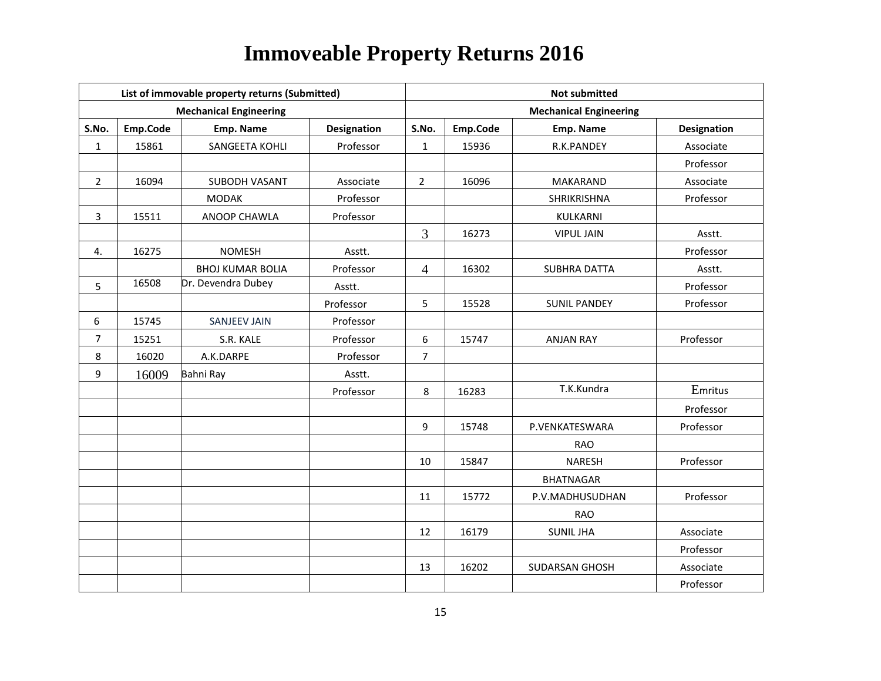|                |          | List of immovable property returns (Submitted) |                    |                |          | <b>Not submitted</b>          |             |
|----------------|----------|------------------------------------------------|--------------------|----------------|----------|-------------------------------|-------------|
|                |          | <b>Mechanical Engineering</b>                  |                    |                |          | <b>Mechanical Engineering</b> |             |
| S.No.          | Emp.Code | Emp. Name                                      | <b>Designation</b> | S.No.          | Emp.Code | Emp. Name                     | Designation |
| $\mathbf{1}$   | 15861    | SANGEETA KOHLI                                 | Professor          | $\mathbf{1}$   | 15936    | R.K.PANDEY                    | Associate   |
|                |          |                                                |                    |                |          |                               | Professor   |
| $\overline{2}$ | 16094    | SUBODH VASANT                                  | Associate          | $\overline{2}$ | 16096    | <b>MAKARAND</b>               | Associate   |
|                |          | <b>MODAK</b>                                   | Professor          |                |          | SHRIKRISHNA                   | Professor   |
| $\overline{3}$ | 15511    | ANOOP CHAWLA                                   | Professor          |                |          | KULKARNI                      |             |
|                |          |                                                |                    | $\overline{3}$ | 16273    | <b>VIPUL JAIN</b>             | Asstt.      |
| 4.             | 16275    | <b>NOMESH</b>                                  | Asstt.             |                |          |                               | Professor   |
|                |          | <b>BHOJ KUMAR BOLIA</b>                        | Professor          | $\overline{4}$ | 16302    | <b>SUBHRA DATTA</b>           | Asstt.      |
| 5              | 16508    | Dr. Devendra Dubey                             | Asstt.             |                |          |                               | Professor   |
|                |          |                                                | Professor          | 5              | 15528    | <b>SUNIL PANDEY</b>           | Professor   |
| 6              | 15745    | <b>SANJEEV JAIN</b>                            | Professor          |                |          |                               |             |
| $\overline{7}$ | 15251    | S.R. KALE                                      | Professor          | 6              | 15747    | <b>ANJAN RAY</b>              | Professor   |
| 8              | 16020    | A.K.DARPE                                      | Professor          | $\overline{7}$ |          |                               |             |
| 9              | 16009    | Bahni Ray                                      | Asstt.             |                |          |                               |             |
|                |          |                                                | Professor          | 8              | 16283    | T.K.Kundra                    | Emritus     |
|                |          |                                                |                    |                |          |                               | Professor   |
|                |          |                                                |                    | 9              | 15748    | P.VENKATESWARA                | Professor   |
|                |          |                                                |                    |                |          | <b>RAO</b>                    |             |
|                |          |                                                |                    | 10             | 15847    | <b>NARESH</b>                 | Professor   |
|                |          |                                                |                    |                |          | <b>BHATNAGAR</b>              |             |
|                |          |                                                |                    | 11             | 15772    | P.V.MADHUSUDHAN               | Professor   |
|                |          |                                                |                    |                |          | <b>RAO</b>                    |             |
|                |          |                                                |                    | 12             | 16179    | <b>SUNIL JHA</b>              | Associate   |
|                |          |                                                |                    |                |          |                               | Professor   |
|                |          |                                                |                    | 13             | 16202    | SUDARSAN GHOSH                | Associate   |
|                |          |                                                |                    |                |          |                               | Professor   |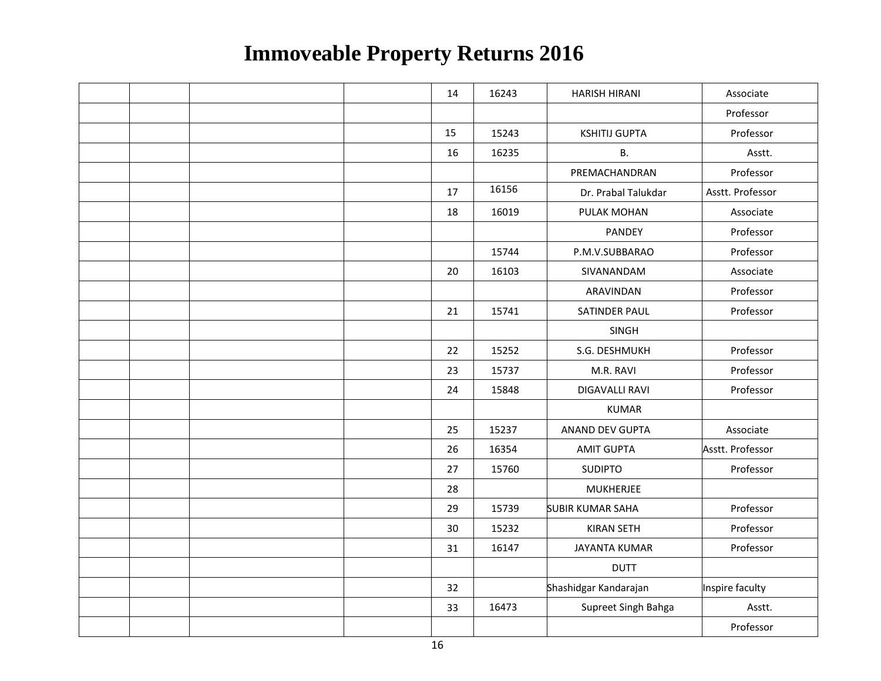|  |  | 14 | 16243 | <b>HARISH HIRANI</b>    | Associate        |
|--|--|----|-------|-------------------------|------------------|
|  |  |    |       |                         | Professor        |
|  |  | 15 | 15243 | <b>KSHITIJ GUPTA</b>    | Professor        |
|  |  | 16 | 16235 | <b>B.</b>               | Asstt.           |
|  |  |    |       | PREMACHANDRAN           | Professor        |
|  |  | 17 | 16156 | Dr. Prabal Talukdar     | Asstt. Professor |
|  |  | 18 | 16019 | PULAK MOHAN             | Associate        |
|  |  |    |       | PANDEY                  | Professor        |
|  |  |    | 15744 | P.M.V.SUBBARAO          | Professor        |
|  |  | 20 | 16103 | SIVANANDAM              | Associate        |
|  |  |    |       | ARAVINDAN               | Professor        |
|  |  | 21 | 15741 | SATINDER PAUL           | Professor        |
|  |  |    |       | SINGH                   |                  |
|  |  | 22 | 15252 | S.G. DESHMUKH           | Professor        |
|  |  | 23 | 15737 | M.R. RAVI               | Professor        |
|  |  | 24 | 15848 | DIGAVALLI RAVI          | Professor        |
|  |  |    |       | <b>KUMAR</b>            |                  |
|  |  | 25 | 15237 | <b>ANAND DEV GUPTA</b>  | Associate        |
|  |  | 26 | 16354 | <b>AMIT GUPTA</b>       | Asstt. Professor |
|  |  | 27 | 15760 | <b>SUDIPTO</b>          | Professor        |
|  |  | 28 |       | <b>MUKHERJEE</b>        |                  |
|  |  | 29 | 15739 | <b>SUBIR KUMAR SAHA</b> | Professor        |
|  |  | 30 | 15232 | <b>KIRAN SETH</b>       | Professor        |
|  |  | 31 | 16147 | <b>JAYANTA KUMAR</b>    | Professor        |
|  |  |    |       | <b>DUTT</b>             |                  |
|  |  | 32 |       | Shashidgar Kandarajan   | Inspire faculty  |
|  |  | 33 | 16473 | Supreet Singh Bahga     | Asstt.           |
|  |  |    |       |                         | Professor        |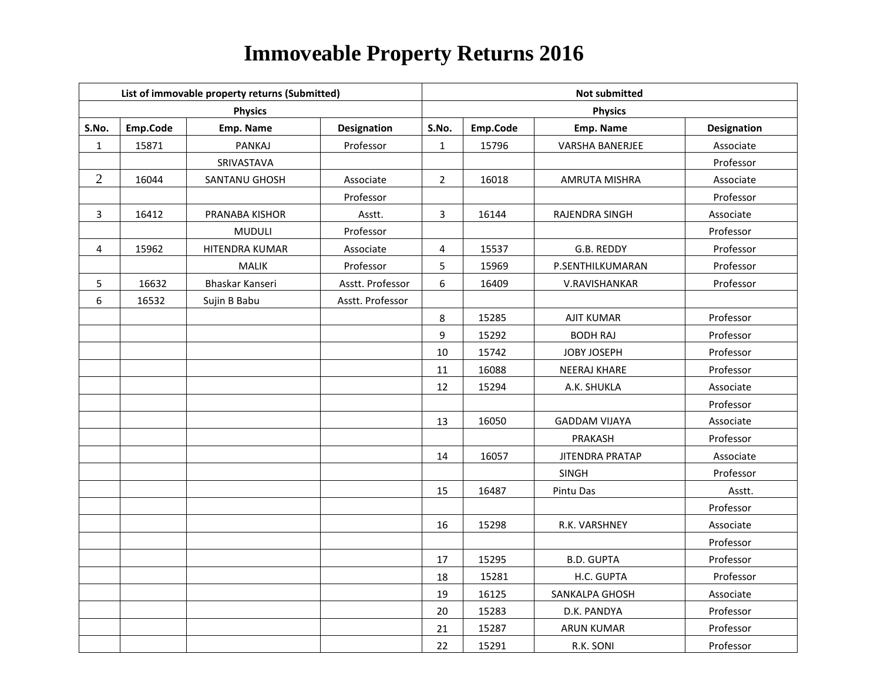|                  |          | List of immovable property returns (Submitted) |                    | <b>Not submitted</b> |          |                        |                    |  |  |
|------------------|----------|------------------------------------------------|--------------------|----------------------|----------|------------------------|--------------------|--|--|
|                  |          | <b>Physics</b>                                 |                    |                      |          | <b>Physics</b>         |                    |  |  |
| S.No.            | Emp.Code | Emp. Name                                      | <b>Designation</b> | S.No.                | Emp.Code | Emp. Name              | <b>Designation</b> |  |  |
| $\mathbf{1}$     | 15871    | <b>PANKAJ</b>                                  | Professor          | $\mathbf{1}$         | 15796    | VARSHA BANERJEE        | Associate          |  |  |
|                  |          | SRIVASTAVA                                     |                    |                      |          |                        | Professor          |  |  |
| $\overline{2}$   | 16044    | SANTANU GHOSH                                  | Associate          | $2^{\circ}$          | 16018    | AMRUTA MISHRA          | Associate          |  |  |
|                  |          |                                                | Professor          |                      |          |                        | Professor          |  |  |
| $\mathbf{3}$     | 16412    | PRANABA KISHOR                                 | Asstt.             | 3                    | 16144    | RAJENDRA SINGH         | Associate          |  |  |
|                  |          | <b>MUDULI</b>                                  | Professor          |                      |          |                        | Professor          |  |  |
| 4                | 15962    | HITENDRA KUMAR                                 | Associate          | 4                    | 15537    | G.B. REDDY             | Professor          |  |  |
|                  |          | <b>MALIK</b>                                   | Professor          | 5                    | 15969    | P.SENTHILKUMARAN       | Professor          |  |  |
| 5                | 16632    | Bhaskar Kanseri                                | Asstt. Professor   | 6                    | 16409    | V.RAVISHANKAR          | Professor          |  |  |
| $\boldsymbol{6}$ | 16532    | Sujin B Babu                                   | Asstt. Professor   |                      |          |                        |                    |  |  |
|                  |          |                                                |                    | 8                    | 15285    | <b>AJIT KUMAR</b>      | Professor          |  |  |
|                  |          |                                                |                    | 9                    | 15292    | <b>BODH RAJ</b>        | Professor          |  |  |
|                  |          |                                                |                    | 10                   | 15742    | JOBY JOSEPH            | Professor          |  |  |
|                  |          |                                                |                    | 11                   | 16088    | <b>NEERAJ KHARE</b>    | Professor          |  |  |
|                  |          |                                                |                    | 12                   | 15294    | A.K. SHUKLA            | Associate          |  |  |
|                  |          |                                                |                    |                      |          |                        | Professor          |  |  |
|                  |          |                                                |                    | 13                   | 16050    | <b>GADDAM VIJAYA</b>   | Associate          |  |  |
|                  |          |                                                |                    |                      |          | PRAKASH                | Professor          |  |  |
|                  |          |                                                |                    | 14                   | 16057    | <b>JITENDRA PRATAP</b> | Associate          |  |  |
|                  |          |                                                |                    |                      |          | SINGH                  | Professor          |  |  |
|                  |          |                                                |                    | 15                   | 16487    | Pintu Das              | Asstt.             |  |  |
|                  |          |                                                |                    |                      |          |                        | Professor          |  |  |
|                  |          |                                                |                    | 16                   | 15298    | R.K. VARSHNEY          | Associate          |  |  |
|                  |          |                                                |                    |                      |          |                        | Professor          |  |  |
|                  |          |                                                |                    | 17                   | 15295    | <b>B.D. GUPTA</b>      | Professor          |  |  |
|                  |          |                                                |                    | 18                   | 15281    | H.C. GUPTA             | Professor          |  |  |
|                  |          |                                                |                    | 19                   | 16125    | SANKALPA GHOSH         | Associate          |  |  |
|                  |          |                                                |                    | 20                   | 15283    | D.K. PANDYA            | Professor          |  |  |
|                  |          |                                                |                    | 21                   | 15287    | <b>ARUN KUMAR</b>      | Professor          |  |  |
|                  |          |                                                |                    | 22                   | 15291    | R.K. SONI              | Professor          |  |  |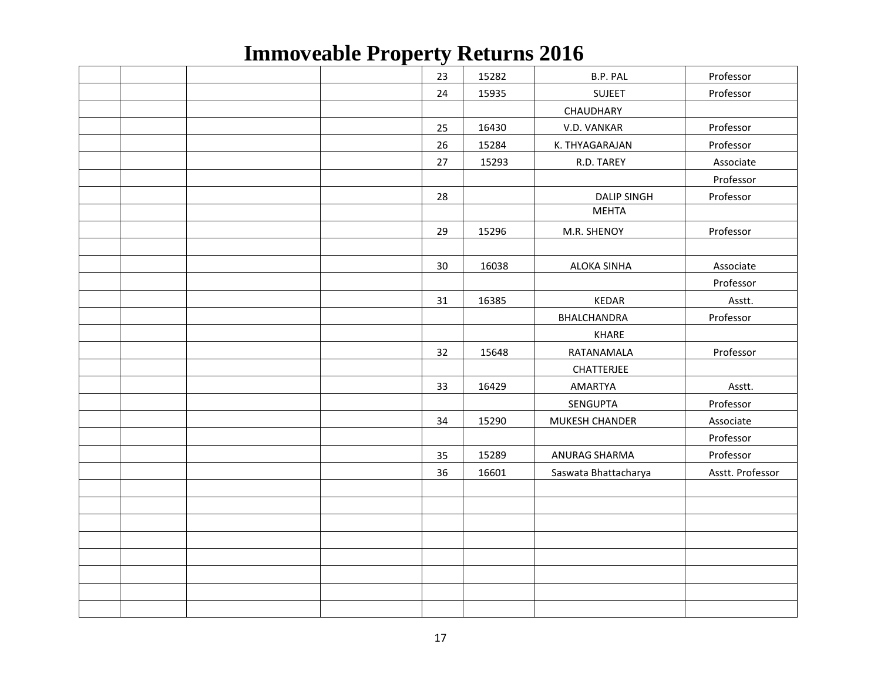|  |  | 23 | 15282 | B.P. PAL             | Professor        |
|--|--|----|-------|----------------------|------------------|
|  |  | 24 | 15935 | <b>SUJEET</b>        | Professor        |
|  |  |    |       | CHAUDHARY            |                  |
|  |  | 25 | 16430 | V.D. VANKAR          | Professor        |
|  |  | 26 | 15284 | K. THYAGARAJAN       | Professor        |
|  |  | 27 | 15293 | R.D. TAREY           | Associate        |
|  |  |    |       |                      | Professor        |
|  |  | 28 |       | <b>DALIP SINGH</b>   | Professor        |
|  |  |    |       | <b>MEHTA</b>         |                  |
|  |  | 29 | 15296 | M.R. SHENOY          | Professor        |
|  |  |    |       |                      |                  |
|  |  | 30 | 16038 | <b>ALOKA SINHA</b>   | Associate        |
|  |  |    |       |                      | Professor        |
|  |  | 31 | 16385 | <b>KEDAR</b>         | Asstt.           |
|  |  |    |       | <b>BHALCHANDRA</b>   | Professor        |
|  |  |    |       | KHARE                |                  |
|  |  | 32 | 15648 | RATANAMALA           | Professor        |
|  |  |    |       | CHATTERJEE           |                  |
|  |  | 33 | 16429 | AMARTYA              | Asstt.           |
|  |  |    |       | SENGUPTA             | Professor        |
|  |  | 34 | 15290 | MUKESH CHANDER       | Associate        |
|  |  |    |       |                      | Professor        |
|  |  | 35 | 15289 | ANURAG SHARMA        | Professor        |
|  |  | 36 | 16601 | Saswata Bhattacharya | Asstt. Professor |
|  |  |    |       |                      |                  |
|  |  |    |       |                      |                  |
|  |  |    |       |                      |                  |
|  |  |    |       |                      |                  |
|  |  |    |       |                      |                  |
|  |  |    |       |                      |                  |
|  |  |    |       |                      |                  |
|  |  |    |       |                      |                  |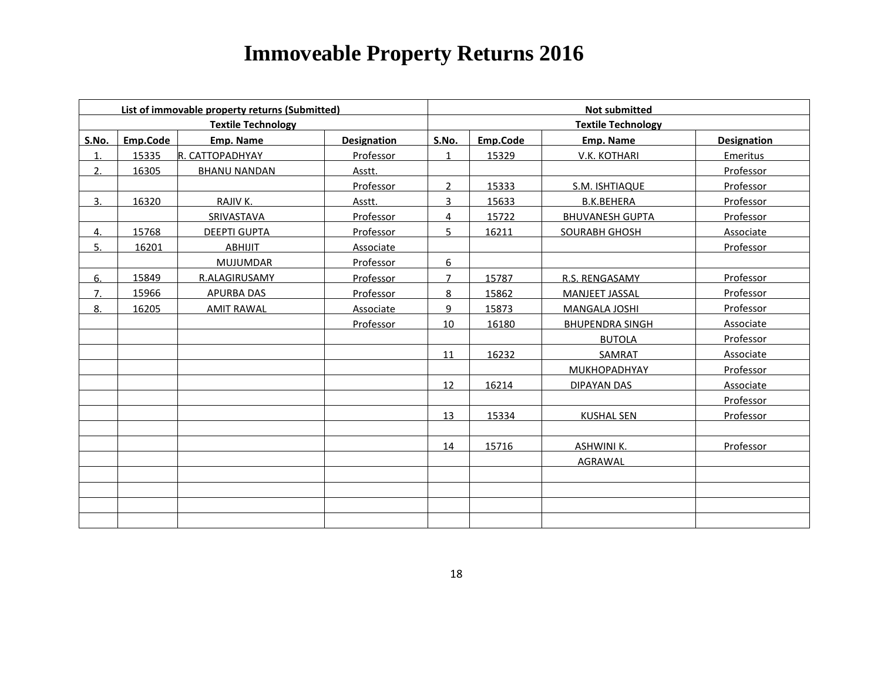|                |          | List of immovable property returns (Submitted) |             | <b>Not submitted</b> |          |                           |                    |  |
|----------------|----------|------------------------------------------------|-------------|----------------------|----------|---------------------------|--------------------|--|
|                |          | <b>Textile Technology</b>                      |             |                      |          | <b>Textile Technology</b> |                    |  |
| S.No.          | Emp.Code | Emp. Name                                      | Designation | S.No.                | Emp.Code | Emp. Name                 | <b>Designation</b> |  |
| 1.             | 15335    | R. CATTOPADHYAY                                | Professor   | $\mathbf{1}$         | 15329    | <b>V.K. KOTHARI</b>       | <b>Emeritus</b>    |  |
| 2.             | 16305    | <b>BHANU NANDAN</b>                            | Asstt.      |                      |          |                           | Professor          |  |
|                |          |                                                | Professor   | $\overline{2}$       | 15333    | S.M. ISHTIAQUE            | Professor          |  |
| 3 <sub>1</sub> | 16320    | RAJIV K.                                       | Asstt.      | $\overline{3}$       | 15633    | <b>B.K.BEHERA</b>         | Professor          |  |
|                |          | SRIVASTAVA                                     | Professor   | $\overline{4}$       | 15722    | <b>BHUVANESH GUPTA</b>    | Professor          |  |
| 4.             | 15768    | <b>DEEPTI GUPTA</b>                            | Professor   | 5.                   | 16211    | <b>SOURABH GHOSH</b>      | Associate          |  |
| 5.             | 16201    | ABHIJIT                                        | Associate   |                      |          |                           | Professor          |  |
|                |          | MUJUMDAR                                       | Professor   | 6                    |          |                           |                    |  |
| 6.             | 15849    | R.ALAGIRUSAMY                                  | Professor   | $\overline{7}$       | 15787    | R.S. RENGASAMY            | Professor          |  |
| 7.             | 15966    | <b>APURBA DAS</b>                              | Professor   | 8                    | 15862    | <b>MANJEET JASSAL</b>     | Professor          |  |
| 8.             | 16205    | <b>AMIT RAWAL</b>                              | Associate   | 9                    | 15873    | MANGALA JOSHI             | Professor          |  |
|                |          |                                                | Professor   | 10                   | 16180    | <b>BHUPENDRA SINGH</b>    | Associate          |  |
|                |          |                                                |             |                      |          | <b>BUTOLA</b>             | Professor          |  |
|                |          |                                                |             | 11                   | 16232    | SAMRAT                    | Associate          |  |
|                |          |                                                |             |                      |          | <b>MUKHOPADHYAY</b>       | Professor          |  |
|                |          |                                                |             | 12                   | 16214    | DIPAYAN DAS               | Associate          |  |
|                |          |                                                |             |                      |          |                           | <b>Professor</b>   |  |
|                |          |                                                |             | 13                   | 15334    | <b>KUSHAL SEN</b>         | Professor          |  |
|                |          |                                                |             |                      |          |                           |                    |  |
|                |          |                                                |             | 14                   | 15716    | <b>ASHWINI K.</b>         | Professor          |  |
|                |          |                                                |             |                      |          | AGRAWAL                   |                    |  |
|                |          |                                                |             |                      |          |                           |                    |  |
|                |          |                                                |             |                      |          |                           |                    |  |
|                |          |                                                |             |                      |          |                           |                    |  |
|                |          |                                                |             |                      |          |                           |                    |  |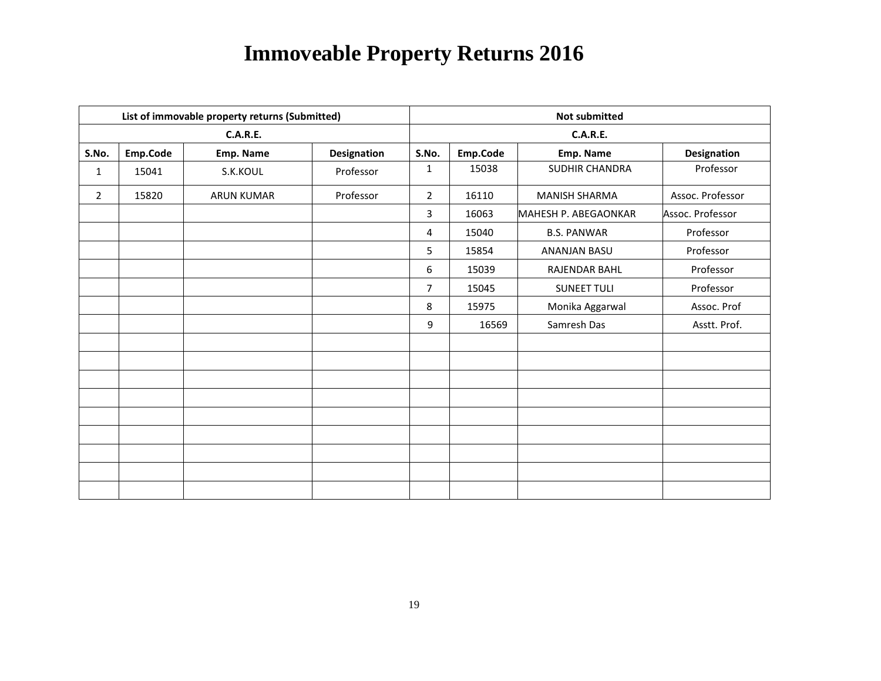|                |          | List of immovable property returns (Submitted) |                    | <b>Not submitted</b> |          |                      |                  |  |
|----------------|----------|------------------------------------------------|--------------------|----------------------|----------|----------------------|------------------|--|
|                |          | <b>C.A.R.E.</b>                                |                    |                      |          | <b>C.A.R.E.</b>      |                  |  |
| S.No.          | Emp.Code | Emp. Name                                      | <b>Designation</b> | S.No.                | Emp.Code | Emp. Name            | Designation      |  |
| $\mathbf{1}$   | 15041    | S.K.KOUL                                       | Professor          | 1                    | 15038    | SUDHIR CHANDRA       | Professor        |  |
| $\overline{2}$ | 15820    | <b>ARUN KUMAR</b>                              | Professor          | $\overline{2}$       | 16110    | <b>MANISH SHARMA</b> | Assoc. Professor |  |
|                |          |                                                |                    | 3                    | 16063    | MAHESH P. ABEGAONKAR | Assoc. Professor |  |
|                |          |                                                |                    | 4                    | 15040    | <b>B.S. PANWAR</b>   | Professor        |  |
|                |          |                                                |                    | 5                    | 15854    | <b>ANANJAN BASU</b>  | Professor        |  |
|                |          |                                                |                    | 6                    | 15039    | RAJENDAR BAHL        | Professor        |  |
|                |          |                                                |                    | $\overline{7}$       | 15045    | <b>SUNEET TULI</b>   | Professor        |  |
|                |          |                                                |                    | 8                    | 15975    | Monika Aggarwal      | Assoc. Prof      |  |
|                |          |                                                |                    | 9                    | 16569    | Samresh Das          | Asstt. Prof.     |  |
|                |          |                                                |                    |                      |          |                      |                  |  |
|                |          |                                                |                    |                      |          |                      |                  |  |
|                |          |                                                |                    |                      |          |                      |                  |  |
|                |          |                                                |                    |                      |          |                      |                  |  |
|                |          |                                                |                    |                      |          |                      |                  |  |
|                |          |                                                |                    |                      |          |                      |                  |  |
|                |          |                                                |                    |                      |          |                      |                  |  |
|                |          |                                                |                    |                      |          |                      |                  |  |
|                |          |                                                |                    |                      |          |                      |                  |  |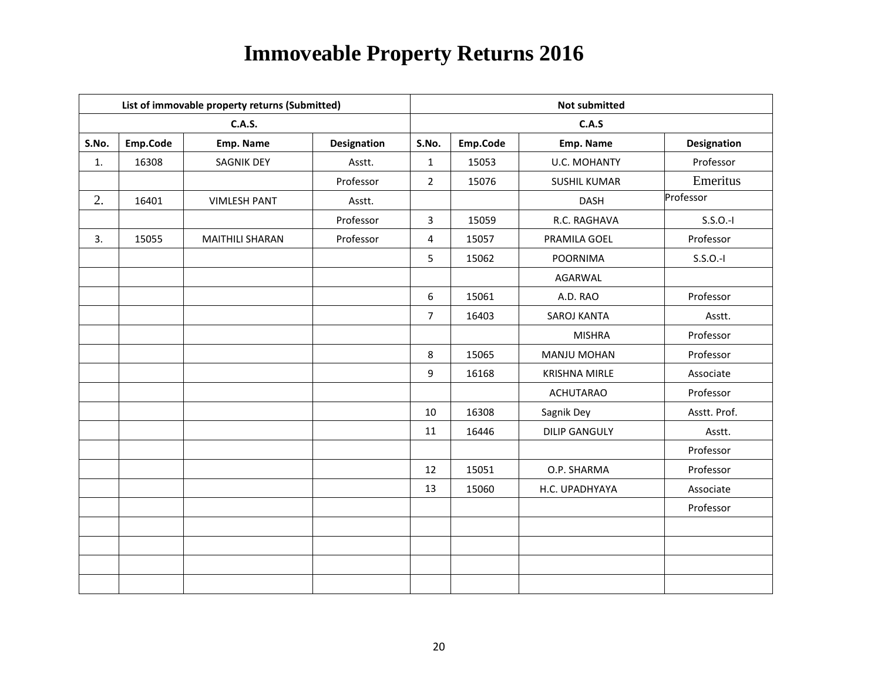|       |          | List of immovable property returns (Submitted) |             | <b>Not submitted</b> |          |                      |              |  |  |
|-------|----------|------------------------------------------------|-------------|----------------------|----------|----------------------|--------------|--|--|
|       |          | <b>C.A.S.</b>                                  |             |                      |          | C.A.S                |              |  |  |
| S.No. | Emp.Code | Emp. Name                                      | Designation | S.No.                | Emp.Code | Emp. Name            | Designation  |  |  |
| 1.    | 16308    | <b>SAGNIK DEY</b>                              | Asstt.      | $\mathbf{1}$         | 15053    | <b>U.C. MOHANTY</b>  | Professor    |  |  |
|       |          |                                                | Professor   | $\overline{2}$       | 15076    | <b>SUSHIL KUMAR</b>  | Emeritus     |  |  |
| 2.    | 16401    | <b>VIMLESH PANT</b>                            | Asstt.      |                      |          | <b>DASH</b>          | Professor    |  |  |
|       |          |                                                | Professor   | 3                    | 15059    | R.C. RAGHAVA         | $S.S.O.-I$   |  |  |
| 3.    | 15055    | <b>MAITHILI SHARAN</b>                         | Professor   | $\overline{4}$       | 15057    | PRAMILA GOEL         | Professor    |  |  |
|       |          |                                                |             | 5                    | 15062    | <b>POORNIMA</b>      | $S.S.O.-I$   |  |  |
|       |          |                                                |             |                      |          | AGARWAL              |              |  |  |
|       |          |                                                |             | 6                    | 15061    | A.D. RAO             | Professor    |  |  |
|       |          |                                                |             | $\overline{7}$       | 16403    | SAROJ KANTA          | Asstt.       |  |  |
|       |          |                                                |             |                      |          | <b>MISHRA</b>        | Professor    |  |  |
|       |          |                                                |             | 8                    | 15065    | <b>MANJU MOHAN</b>   | Professor    |  |  |
|       |          |                                                |             | 9                    | 16168    | <b>KRISHNA MIRLE</b> | Associate    |  |  |
|       |          |                                                |             |                      |          | <b>ACHUTARAO</b>     | Professor    |  |  |
|       |          |                                                |             | 10                   | 16308    | Sagnik Dey           | Asstt. Prof. |  |  |
|       |          |                                                |             | 11                   | 16446    | <b>DILIP GANGULY</b> | Asstt.       |  |  |
|       |          |                                                |             |                      |          |                      | Professor    |  |  |
|       |          |                                                |             | 12                   | 15051    | O.P. SHARMA          | Professor    |  |  |
|       |          |                                                |             | 13                   | 15060    | H.C. UPADHYAYA       | Associate    |  |  |
|       |          |                                                |             |                      |          |                      | Professor    |  |  |
|       |          |                                                |             |                      |          |                      |              |  |  |
|       |          |                                                |             |                      |          |                      |              |  |  |
|       |          |                                                |             |                      |          |                      |              |  |  |
|       |          |                                                |             |                      |          |                      |              |  |  |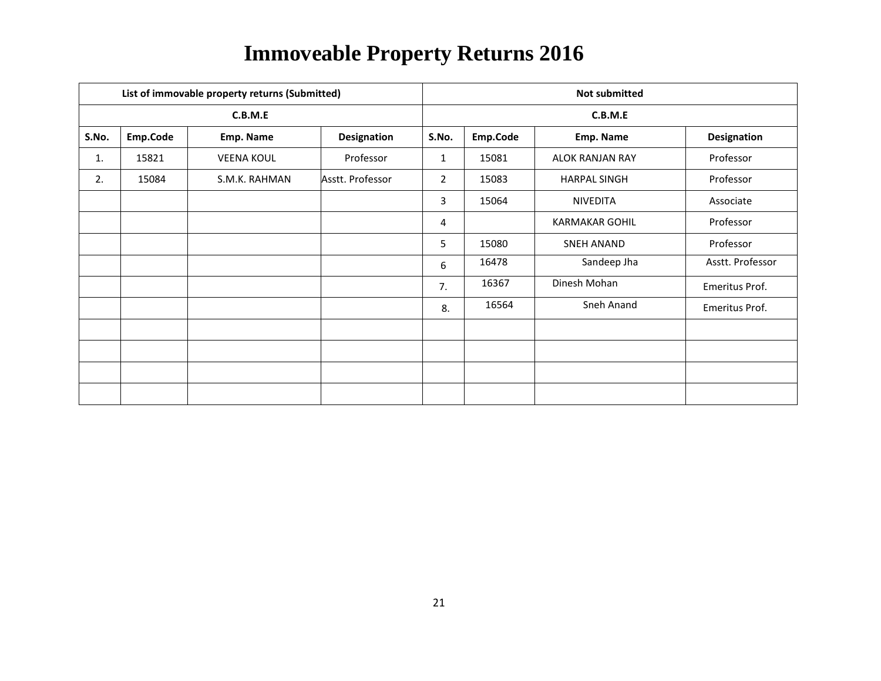|       |          | List of immovable property returns (Submitted) |                    | <b>Not submitted</b> |          |                        |                    |  |  |
|-------|----------|------------------------------------------------|--------------------|----------------------|----------|------------------------|--------------------|--|--|
|       |          | C.B.M.E                                        |                    | C.B.M.E              |          |                        |                    |  |  |
| S.No. | Emp.Code | Emp. Name                                      | <b>Designation</b> | S.No.                | Emp.Code | Emp. Name              | <b>Designation</b> |  |  |
| 1.    | 15821    | <b>VEENA KOUL</b>                              | Professor          | $\mathbf{1}$         | 15081    | <b>ALOK RANJAN RAY</b> | Professor          |  |  |
| 2.    | 15084    | S.M.K. RAHMAN                                  | Asstt. Professor   | $\overline{2}$       | 15083    | <b>HARPAL SINGH</b>    | Professor          |  |  |
|       |          |                                                |                    | 3                    | 15064    | <b>NIVEDITA</b>        | Associate          |  |  |
|       |          |                                                |                    | 4                    |          | <b>KARMAKAR GOHIL</b>  | Professor          |  |  |
|       |          |                                                |                    | 5                    | 15080    | <b>SNEH ANAND</b>      | Professor          |  |  |
|       |          |                                                |                    | 6                    | 16478    | Sandeep Jha            | Asstt. Professor   |  |  |
|       |          |                                                |                    | 7.                   | 16367    | Dinesh Mohan           | Emeritus Prof.     |  |  |
|       |          |                                                |                    | 8.                   | 16564    | Sneh Anand             | Emeritus Prof.     |  |  |
|       |          |                                                |                    |                      |          |                        |                    |  |  |
|       |          |                                                |                    |                      |          |                        |                    |  |  |
|       |          |                                                |                    |                      |          |                        |                    |  |  |
|       |          |                                                |                    |                      |          |                        |                    |  |  |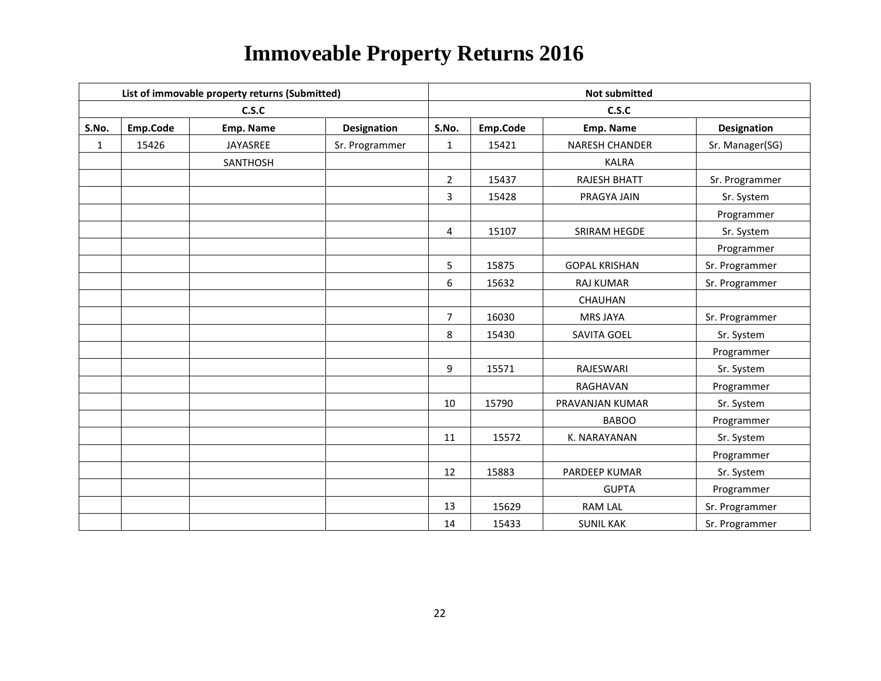|              | List of immovable property returns (Submitted) |           |                | <b>Not submitted</b> |          |                       |                    |  |
|--------------|------------------------------------------------|-----------|----------------|----------------------|----------|-----------------------|--------------------|--|
|              |                                                | C.S.C     |                |                      |          | C.S.C                 |                    |  |
| S.No.        | Emp.Code                                       | Emp. Name | Designation    | S.No.                | Emp.Code | Emp. Name             | <b>Designation</b> |  |
| $\mathbf{1}$ | 15426                                          | JAYASREE  | Sr. Programmer | $\mathbf{1}$         | 15421    | <b>NARESH CHANDER</b> | Sr. Manager(SG)    |  |
|              |                                                | SANTHOSH  |                |                      |          | <b>KALRA</b>          |                    |  |
|              |                                                |           |                | $\overline{2}$       | 15437    | <b>RAJESH BHATT</b>   | Sr. Programmer     |  |
|              |                                                |           |                | 3                    | 15428    | PRAGYA JAIN           | Sr. System         |  |
|              |                                                |           |                |                      |          |                       | Programmer         |  |
|              |                                                |           |                | $\overline{4}$       | 15107    | <b>SRIRAM HEGDE</b>   | Sr. System         |  |
|              |                                                |           |                |                      |          |                       | Programmer         |  |
|              |                                                |           |                | 5                    | 15875    | <b>GOPAL KRISHAN</b>  | Sr. Programmer     |  |
|              |                                                |           |                | 6                    | 15632    | <b>RAJ KUMAR</b>      | Sr. Programmer     |  |
|              |                                                |           |                |                      |          | CHAUHAN               |                    |  |
|              |                                                |           |                | $\overline{7}$       | 16030    | <b>MRS JAYA</b>       | Sr. Programmer     |  |
|              |                                                |           |                | 8                    | 15430    | SAVITA GOEL           | Sr. System         |  |
|              |                                                |           |                |                      |          |                       | Programmer         |  |
|              |                                                |           |                | 9                    | 15571    | RAJESWARI             | Sr. System         |  |
|              |                                                |           |                |                      |          | RAGHAVAN              | Programmer         |  |
|              |                                                |           |                | 10                   | 15790    | PRAVANJAN KUMAR       | Sr. System         |  |
|              |                                                |           |                |                      |          | <b>BABOO</b>          | Programmer         |  |
|              |                                                |           |                | 11                   | 15572    | K. NARAYANAN          | Sr. System         |  |
|              |                                                |           |                |                      |          |                       | Programmer         |  |
|              |                                                |           |                | 12                   | 15883    | PARDEEP KUMAR         | Sr. System         |  |
|              |                                                |           |                |                      |          | <b>GUPTA</b>          | Programmer         |  |
|              |                                                |           |                | 13                   | 15629    | <b>RAM LAL</b>        | Sr. Programmer     |  |
|              |                                                |           |                | 14                   | 15433    | <b>SUNIL KAK</b>      | Sr. Programmer     |  |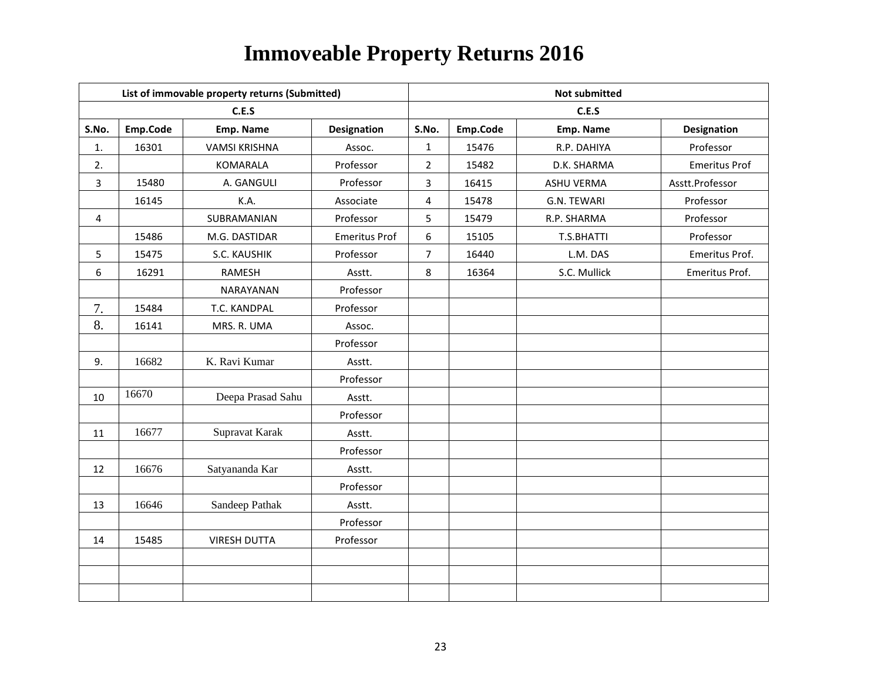|                |          | List of immovable property returns (Submitted) |                      |                         |          | <b>Not submitted</b> |                      |
|----------------|----------|------------------------------------------------|----------------------|-------------------------|----------|----------------------|----------------------|
|                |          | C.E.S                                          |                      |                         |          | C.E.S                |                      |
| S.No.          | Emp.Code | Emp. Name                                      | <b>Designation</b>   | S.No.                   | Emp.Code | Emp. Name            | Designation          |
| 1.             | 16301    | <b>VAMSI KRISHNA</b>                           | Assoc.               | 1                       | 15476    | R.P. DAHIYA          | Professor            |
| 2.             |          | KOMARALA                                       | Professor            | $\overline{2}$          | 15482    | D.K. SHARMA          | <b>Emeritus Prof</b> |
| $\overline{3}$ | 15480    | A. GANGULI                                     | Professor            | 3                       | 16415    | <b>ASHU VERMA</b>    | Asstt.Professor      |
|                | 16145    | K.A.                                           | Associate            | $\overline{\mathbf{4}}$ | 15478    | G.N. TEWARI          | Professor            |
| $\overline{4}$ |          | SUBRAMANIAN                                    | Professor            | 5                       | 15479    | R.P. SHARMA          | Professor            |
|                | 15486    | M.G. DASTIDAR                                  | <b>Emeritus Prof</b> | 6                       | 15105    | T.S.BHATTI           | Professor            |
| 5              | 15475    | S.C. KAUSHIK                                   | Professor            | $\overline{7}$          | 16440    | L.M. DAS             | Emeritus Prof.       |
| 6              | 16291    | <b>RAMESH</b>                                  | Asstt.               | 8                       | 16364    | S.C. Mullick         | Emeritus Prof.       |
|                |          | NARAYANAN                                      | Professor            |                         |          |                      |                      |
| 7.             | 15484    | T.C. KANDPAL                                   | Professor            |                         |          |                      |                      |
| 8.             | 16141    | MRS. R. UMA                                    | Assoc.               |                         |          |                      |                      |
|                |          |                                                | Professor            |                         |          |                      |                      |
| 9.             | 16682    | K. Ravi Kumar                                  | Asstt.               |                         |          |                      |                      |
|                |          |                                                | Professor            |                         |          |                      |                      |
| 10             | 16670    | Deepa Prasad Sahu                              | Asstt.               |                         |          |                      |                      |
|                |          |                                                | Professor            |                         |          |                      |                      |
| 11             | 16677    | Supravat Karak                                 | Asstt.               |                         |          |                      |                      |
|                |          |                                                | Professor            |                         |          |                      |                      |
| 12             | 16676    | Satyananda Kar                                 | Asstt.               |                         |          |                      |                      |
|                |          |                                                | Professor            |                         |          |                      |                      |
| 13             | 16646    | Sandeep Pathak                                 | Asstt.               |                         |          |                      |                      |
|                |          |                                                | Professor            |                         |          |                      |                      |
| 14             | 15485    | <b>VIRESH DUTTA</b>                            | Professor            |                         |          |                      |                      |
|                |          |                                                |                      |                         |          |                      |                      |
|                |          |                                                |                      |                         |          |                      |                      |
|                |          |                                                |                      |                         |          |                      |                      |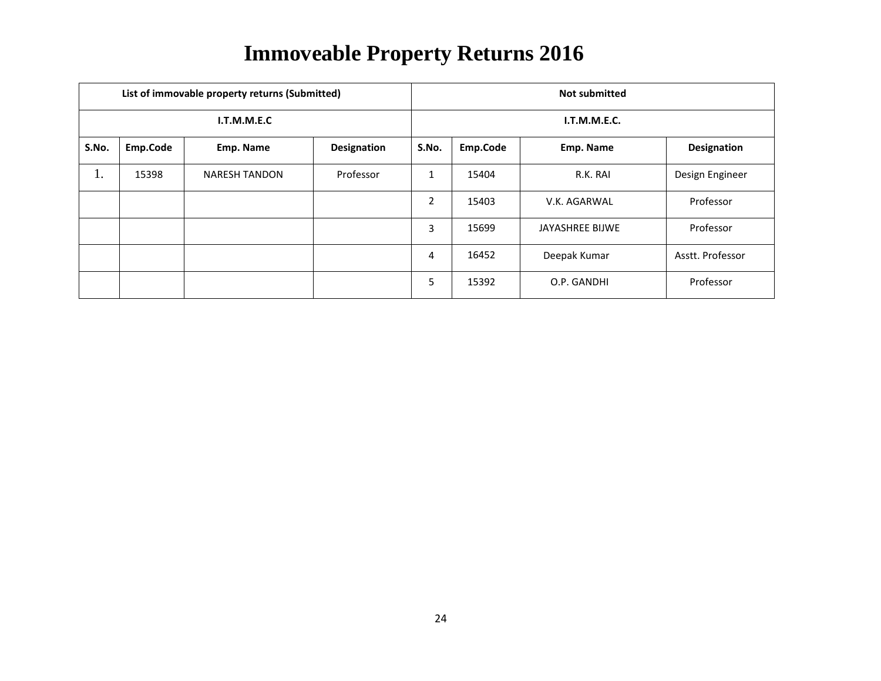|       |          | List of immovable property returns (Submitted) |                    | <b>Not submitted</b>      |              |                 |                  |  |  |
|-------|----------|------------------------------------------------|--------------------|---------------------------|--------------|-----------------|------------------|--|--|
|       |          | I.T.M.M.E.C                                    |                    |                           | I.T.M.M.E.C. |                 |                  |  |  |
| S.No. | Emp.Code | Emp. Name                                      | <b>Designation</b> | S.No.                     | Emp.Code     | Emp. Name       | Designation      |  |  |
| 1.    | 15398    | <b>NARESH TANDON</b>                           | Professor          | $\blacktriangleleft$<br>T | 15404        | R.K. RAI        | Design Engineer  |  |  |
|       |          |                                                |                    | $\overline{2}$            | 15403        | V.K. AGARWAL    | Professor        |  |  |
|       |          |                                                |                    | 3                         | 15699        | JAYASHREE BIJWE | Professor        |  |  |
|       |          |                                                |                    | 4                         | 16452        | Deepak Kumar    | Asstt. Professor |  |  |
|       |          |                                                |                    | 5                         | 15392        | O.P. GANDHI     | Professor        |  |  |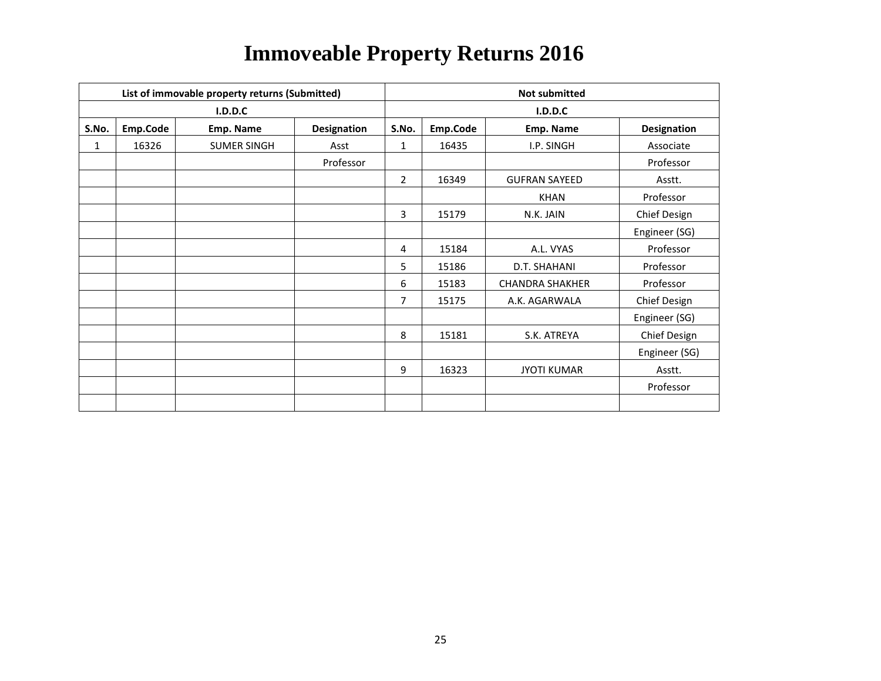| List of immovable property returns (Submitted) |          |                    |                    |                | <b>Not submitted</b> |                        |                     |  |  |
|------------------------------------------------|----------|--------------------|--------------------|----------------|----------------------|------------------------|---------------------|--|--|
|                                                |          | I.D.D.C            |                    |                | I.D.D.C              |                        |                     |  |  |
| S.No.                                          | Emp.Code | Emp. Name          | <b>Designation</b> | S.No.          | Emp.Code             | Emp. Name              | <b>Designation</b>  |  |  |
| $\mathbf{1}$                                   | 16326    | <b>SUMER SINGH</b> | Asst               | 1              | 16435                | I.P. SINGH             | Associate           |  |  |
|                                                |          |                    | Professor          |                |                      |                        | Professor           |  |  |
|                                                |          |                    |                    | $\overline{2}$ | 16349                | <b>GUFRAN SAYEED</b>   | Asstt.              |  |  |
|                                                |          |                    |                    |                |                      | <b>KHAN</b>            | Professor           |  |  |
|                                                |          |                    |                    | 3              | 15179                | N.K. JAIN              | <b>Chief Design</b> |  |  |
|                                                |          |                    |                    |                |                      |                        | Engineer (SG)       |  |  |
|                                                |          |                    |                    | 4              | 15184                | A.L. VYAS              | Professor           |  |  |
|                                                |          |                    |                    | 5              | 15186                | D.T. SHAHANI           | Professor           |  |  |
|                                                |          |                    |                    | 6              | 15183                | <b>CHANDRA SHAKHER</b> | Professor           |  |  |
|                                                |          |                    |                    | 7              | 15175                | A.K. AGARWALA          | Chief Design        |  |  |
|                                                |          |                    |                    |                |                      |                        | Engineer (SG)       |  |  |
|                                                |          |                    |                    | 8              | 15181                | S.K. ATREYA            | Chief Design        |  |  |
|                                                |          |                    |                    |                |                      |                        | Engineer (SG)       |  |  |
|                                                |          |                    |                    | 9              | 16323                | <b>JYOTI KUMAR</b>     | Asstt.              |  |  |
|                                                |          |                    |                    |                |                      |                        | Professor           |  |  |
|                                                |          |                    |                    |                |                      |                        |                     |  |  |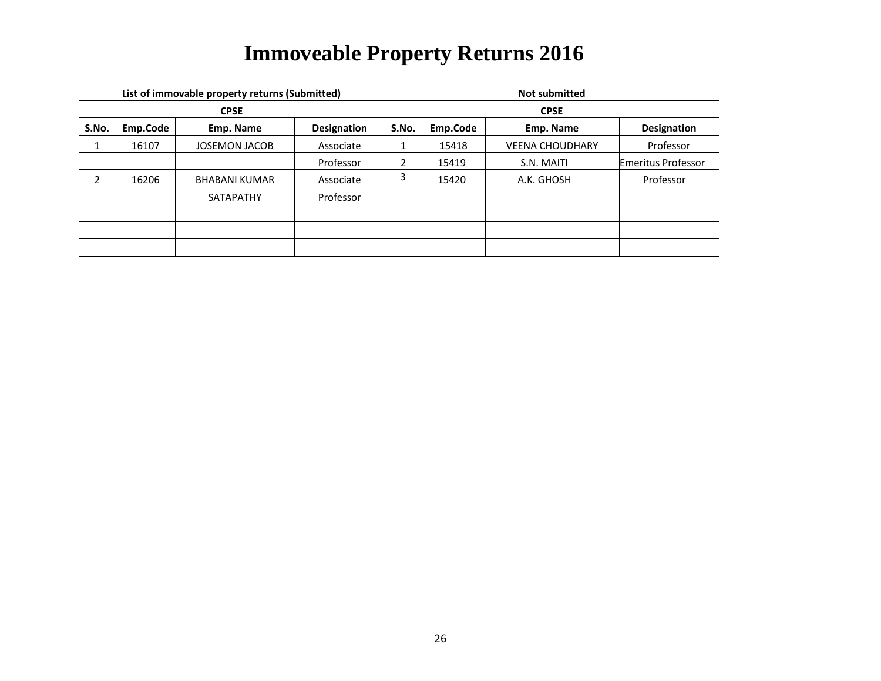| List of immovable property returns (Submitted) |          |                      |                    | <b>Not submitted</b> |             |                        |                           |  |  |
|------------------------------------------------|----------|----------------------|--------------------|----------------------|-------------|------------------------|---------------------------|--|--|
| <b>CPSE</b>                                    |          |                      |                    |                      | <b>CPSE</b> |                        |                           |  |  |
| S.No.                                          | Emp.Code | Emp. Name            | <b>Designation</b> | S.No.                | Emp.Code    | Emp. Name              | <b>Designation</b>        |  |  |
| Ŧ.                                             | 16107    | <b>JOSEMON JACOB</b> | Associate          |                      | 15418       | <b>VEENA CHOUDHARY</b> | Professor                 |  |  |
|                                                |          |                      | Professor          | 2                    | 15419       | S.N. MAITI             | <b>Emeritus Professor</b> |  |  |
|                                                | 16206    | <b>BHABANI KUMAR</b> | Associate          | 3                    | 15420       | A.K. GHOSH             | Professor                 |  |  |
|                                                |          | SATAPATHY            | Professor          |                      |             |                        |                           |  |  |
|                                                |          |                      |                    |                      |             |                        |                           |  |  |
|                                                |          |                      |                    |                      |             |                        |                           |  |  |
|                                                |          |                      |                    |                      |             |                        |                           |  |  |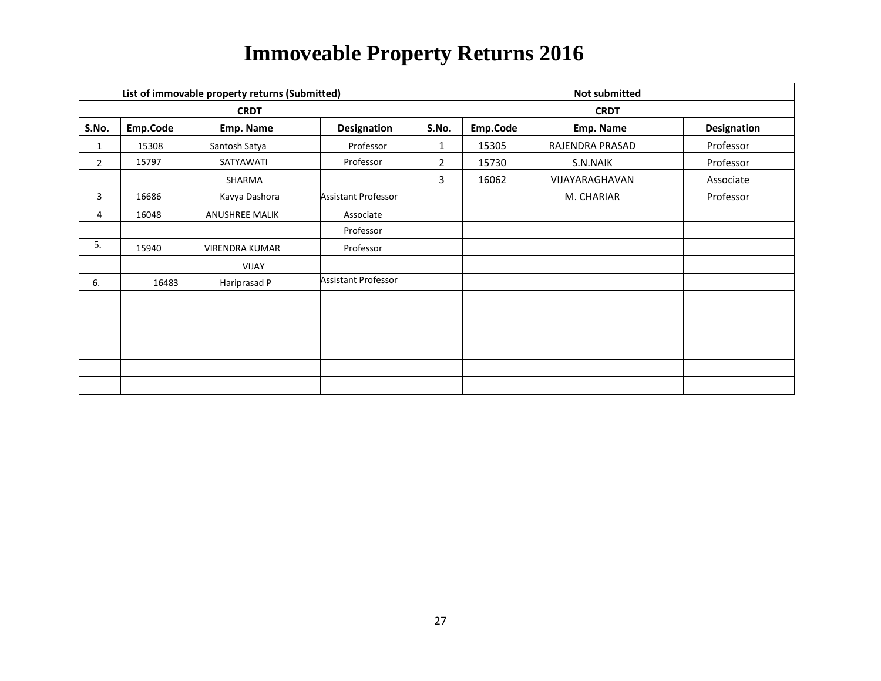| List of immovable property returns (Submitted) |          |                       |                            | <b>Not submitted</b> |             |                 |             |  |  |
|------------------------------------------------|----------|-----------------------|----------------------------|----------------------|-------------|-----------------|-------------|--|--|
| <b>CRDT</b>                                    |          |                       |                            |                      | <b>CRDT</b> |                 |             |  |  |
| S.No.                                          | Emp.Code | Emp. Name             | <b>Designation</b>         | S.No.                | Emp.Code    | Emp. Name       | Designation |  |  |
| 1                                              | 15308    | Santosh Satya         | Professor                  | $\mathbf{1}$         | 15305       | RAJENDRA PRASAD | Professor   |  |  |
| $\overline{2}$                                 | 15797    | SATYAWATI             | Professor                  | 2                    | 15730       | S.N.NAIK        | Professor   |  |  |
|                                                |          | SHARMA                |                            | 3                    | 16062       | VIJAYARAGHAVAN  | Associate   |  |  |
| 3                                              | 16686    | Kavya Dashora         | <b>Assistant Professor</b> |                      |             | M. CHARIAR      | Professor   |  |  |
| 4                                              | 16048    | <b>ANUSHREE MALIK</b> | Associate                  |                      |             |                 |             |  |  |
|                                                |          |                       | Professor                  |                      |             |                 |             |  |  |
| 5.                                             | 15940    | <b>VIRENDRA KUMAR</b> | Professor                  |                      |             |                 |             |  |  |
|                                                |          | VIJAY                 |                            |                      |             |                 |             |  |  |
| 6.                                             | 16483    | Hariprasad P          | <b>Assistant Professor</b> |                      |             |                 |             |  |  |
|                                                |          |                       |                            |                      |             |                 |             |  |  |
|                                                |          |                       |                            |                      |             |                 |             |  |  |
|                                                |          |                       |                            |                      |             |                 |             |  |  |
|                                                |          |                       |                            |                      |             |                 |             |  |  |
|                                                |          |                       |                            |                      |             |                 |             |  |  |
|                                                |          |                       |                            |                      |             |                 |             |  |  |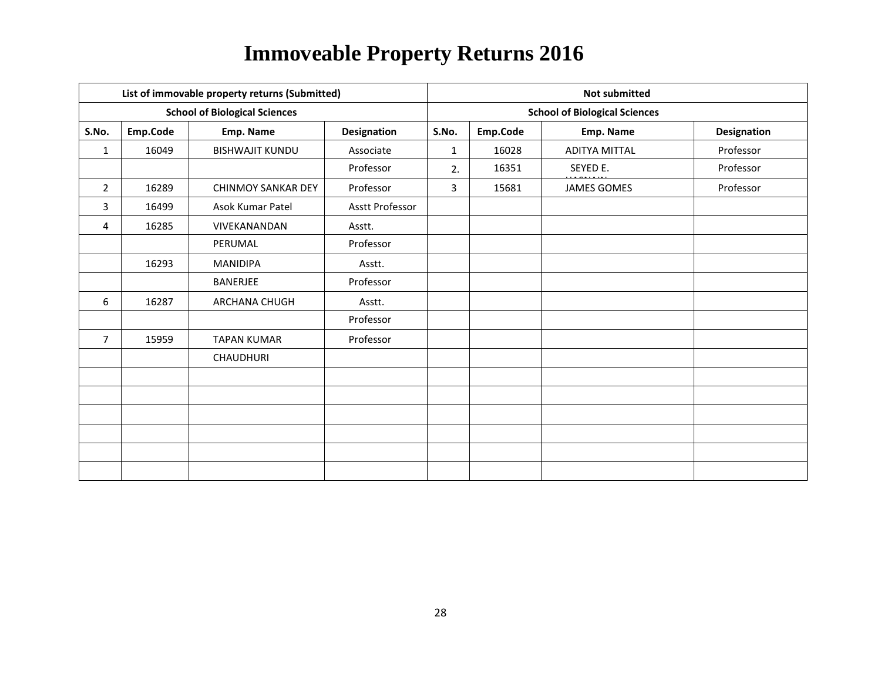| List of immovable property returns (Submitted) |          |                                      |                    |              | <b>Not submitted</b>                 |                      |                    |  |  |
|------------------------------------------------|----------|--------------------------------------|--------------------|--------------|--------------------------------------|----------------------|--------------------|--|--|
|                                                |          | <b>School of Biological Sciences</b> |                    |              | <b>School of Biological Sciences</b> |                      |                    |  |  |
| S.No.                                          | Emp.Code | Emp. Name                            | <b>Designation</b> | S.No.        | Emp.Code                             | Emp. Name            | <b>Designation</b> |  |  |
| $\mathbf{1}$                                   | 16049    | <b>BISHWAJIT KUNDU</b>               | Associate          | $\mathbf{1}$ | 16028                                | <b>ADITYA MITTAL</b> | Professor          |  |  |
|                                                |          |                                      | Professor          | 2.           | 16351                                | SEYED E.             | Professor          |  |  |
| $\overline{2}$                                 | 16289    | <b>CHINMOY SANKAR DEY</b>            | Professor          | 3            | 15681                                | <b>JAMES GOMES</b>   | Professor          |  |  |
| 3                                              | 16499    | Asok Kumar Patel                     | Asstt Professor    |              |                                      |                      |                    |  |  |
| 4                                              | 16285    | VIVEKANANDAN                         | Asstt.             |              |                                      |                      |                    |  |  |
|                                                |          | PERUMAL                              | Professor          |              |                                      |                      |                    |  |  |
|                                                | 16293    | MANIDIPA                             | Asstt.             |              |                                      |                      |                    |  |  |
|                                                |          | BANERJEE                             | Professor          |              |                                      |                      |                    |  |  |
| 6                                              | 16287    | ARCHANA CHUGH                        | Asstt.             |              |                                      |                      |                    |  |  |
|                                                |          |                                      | Professor          |              |                                      |                      |                    |  |  |
| $\overline{7}$                                 | 15959    | <b>TAPAN KUMAR</b>                   | Professor          |              |                                      |                      |                    |  |  |
|                                                |          | <b>CHAUDHURI</b>                     |                    |              |                                      |                      |                    |  |  |
|                                                |          |                                      |                    |              |                                      |                      |                    |  |  |
|                                                |          |                                      |                    |              |                                      |                      |                    |  |  |
|                                                |          |                                      |                    |              |                                      |                      |                    |  |  |
|                                                |          |                                      |                    |              |                                      |                      |                    |  |  |
|                                                |          |                                      |                    |              |                                      |                      |                    |  |  |
|                                                |          |                                      |                    |              |                                      |                      |                    |  |  |